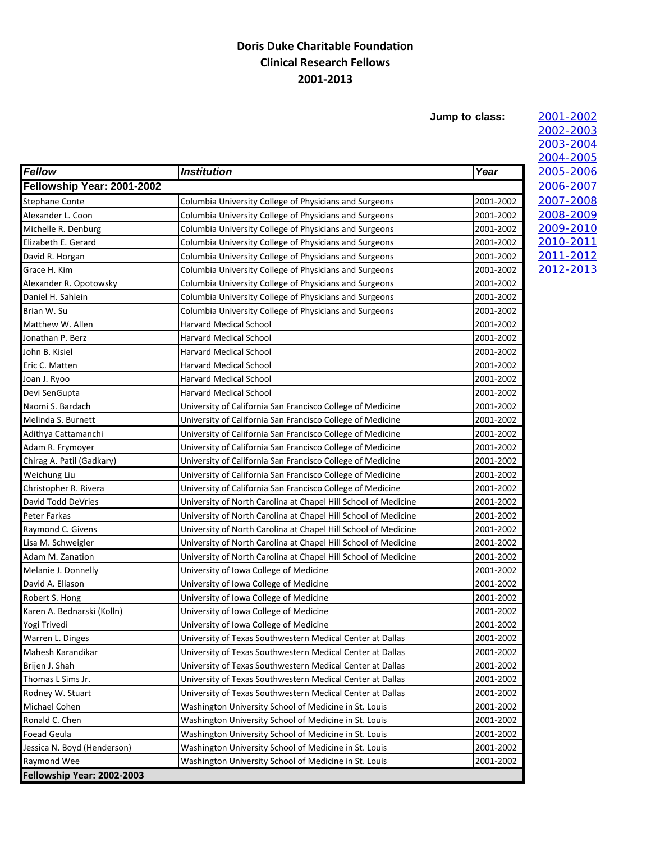**Jump to class:** [2001-2002](#page-0-0)

<span id="page-0-1"></span><span id="page-0-0"></span>

| Fellow                                    | <b>Institution</b>                                                                                                               | Year      |
|-------------------------------------------|----------------------------------------------------------------------------------------------------------------------------------|-----------|
| Fellowship Year: 2001-2002                |                                                                                                                                  |           |
| <b>Stephane Conte</b>                     | Columbia University College of Physicians and Surgeons                                                                           | 2001-2002 |
| Alexander L. Coon                         | Columbia University College of Physicians and Surgeons                                                                           | 2001-2002 |
| Michelle R. Denburg                       | Columbia University College of Physicians and Surgeons                                                                           | 2001-2002 |
| Elizabeth E. Gerard                       | Columbia University College of Physicians and Surgeons                                                                           | 2001-2002 |
| David R. Horgan                           | Columbia University College of Physicians and Surgeons                                                                           | 2001-2002 |
| Grace H. Kim                              | Columbia University College of Physicians and Surgeons                                                                           | 2001-2002 |
| Alexander R. Opotowsky                    | Columbia University College of Physicians and Surgeons                                                                           | 2001-2002 |
| Daniel H. Sahlein                         | Columbia University College of Physicians and Surgeons                                                                           | 2001-2002 |
| Brian W. Su                               | Columbia University College of Physicians and Surgeons                                                                           | 2001-2002 |
| Matthew W. Allen                          | <b>Harvard Medical School</b>                                                                                                    | 2001-2002 |
| Jonathan P. Berz                          | <b>Harvard Medical School</b>                                                                                                    | 2001-2002 |
| John B. Kisiel                            | Harvard Medical School                                                                                                           | 2001-2002 |
| Eric C. Matten                            | Harvard Medical School                                                                                                           | 2001-2002 |
| Joan J. Ryoo                              | <b>Harvard Medical School</b>                                                                                                    | 2001-2002 |
| Devi SenGupta                             | <b>Harvard Medical School</b>                                                                                                    | 2001-2002 |
| Naomi S. Bardach                          | University of California San Francisco College of Medicine                                                                       | 2001-2002 |
| Melinda S. Burnett                        | University of California San Francisco College of Medicine                                                                       | 2001-2002 |
| Adithya Cattamanchi                       | University of California San Francisco College of Medicine                                                                       | 2001-2002 |
| Adam R. Frymoyer                          | University of California San Francisco College of Medicine                                                                       | 2001-2002 |
| Chirag A. Patil (Gadkary)                 | University of California San Francisco College of Medicine                                                                       | 2001-2002 |
| Weichung Liu                              | University of California San Francisco College of Medicine                                                                       | 2001-2002 |
| Christopher R. Rivera                     | University of California San Francisco College of Medicine                                                                       | 2001-2002 |
| David Todd DeVries                        | University of North Carolina at Chapel Hill School of Medicine                                                                   | 2001-2002 |
|                                           |                                                                                                                                  | 2001-2002 |
| Peter Farkas<br>Raymond C. Givens         | University of North Carolina at Chapel Hill School of Medicine<br>University of North Carolina at Chapel Hill School of Medicine | 2001-2002 |
| Lisa M. Schweigler                        | University of North Carolina at Chapel Hill School of Medicine                                                                   | 2001-2002 |
| Adam M. Zanation                          | University of North Carolina at Chapel Hill School of Medicine                                                                   | 2001-2002 |
| Melanie J. Donnelly                       | University of Iowa College of Medicine                                                                                           | 2001-2002 |
| David A. Eliason                          | University of Iowa College of Medicine                                                                                           | 2001-2002 |
| Robert S. Hong                            | University of Iowa College of Medicine                                                                                           | 2001-2002 |
| Karen A. Bednarski (Kolln)                | University of Iowa College of Medicine                                                                                           | 2001-2002 |
| Yogi Trivedi                              | University of Iowa College of Medicine                                                                                           | 2001-2002 |
| Warren L. Dinges                          | University of Texas Southwestern Medical Center at Dallas                                                                        | 2001-2002 |
| Mahesh Karandikar                         | University of Texas Southwestern Medical Center at Dallas                                                                        | 2001-2002 |
|                                           |                                                                                                                                  | 2001-2002 |
| Brijen J. Shah<br>Thomas L Sims Jr.       | University of Texas Southwestern Medical Center at Dallas                                                                        | 2001-2002 |
|                                           | University of Texas Southwestern Medical Center at Dallas                                                                        |           |
| Rodney W. Stuart                          | University of Texas Southwestern Medical Center at Dallas                                                                        | 2001-2002 |
| Michael Cohen                             | Washington University School of Medicine in St. Louis                                                                            | 2001-2002 |
| Ronald C. Chen                            | Washington University School of Medicine in St. Louis                                                                            | 2001-2002 |
| <b>Foead Geula</b>                        | Washington University School of Medicine in St. Louis                                                                            | 2001-2002 |
| Jessica N. Boyd (Henderson)               | Washington University School of Medicine in St. Louis                                                                            | 2001-2002 |
| Raymond Wee<br>Fellowship Year: 2002-2003 | Washington University School of Medicine in St. Louis                                                                            | 2001-2002 |

[2002-2003](#page-0-1) [2003-2004](#page-2-0) [2004-2005](#page-3-0) [2006-2007](#page-6-0) [2011-2012](#page-17-0)

[2012-2013](#page-19-0)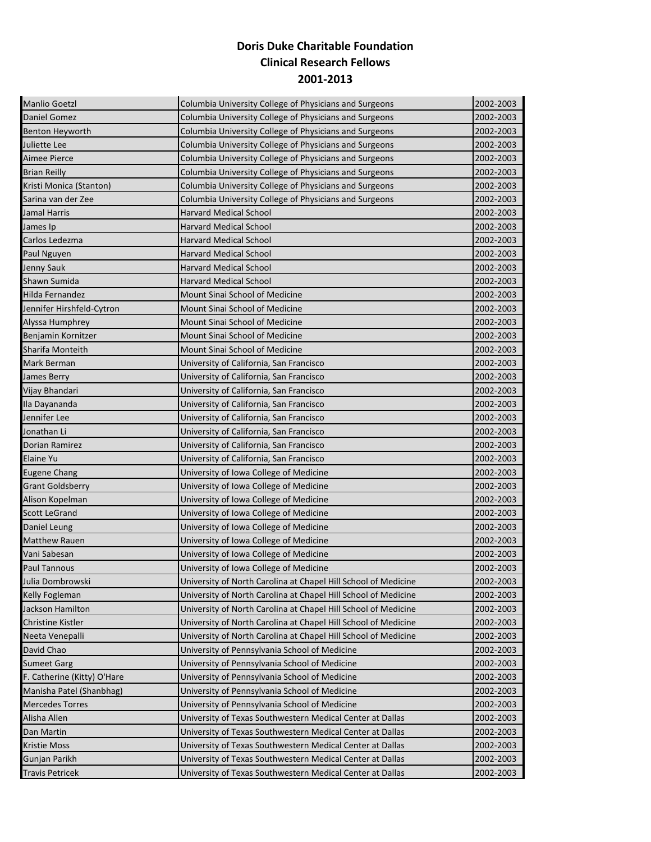| <b>Manlio Goetzl</b>        | Columbia University College of Physicians and Surgeons         | 2002-2003 |
|-----------------------------|----------------------------------------------------------------|-----------|
| Daniel Gomez                | Columbia University College of Physicians and Surgeons         | 2002-2003 |
| <b>Benton Heyworth</b>      | Columbia University College of Physicians and Surgeons         | 2002-2003 |
| Juliette Lee                | Columbia University College of Physicians and Surgeons         | 2002-2003 |
| Aimee Pierce                | Columbia University College of Physicians and Surgeons         | 2002-2003 |
| <b>Brian Reilly</b>         | Columbia University College of Physicians and Surgeons         | 2002-2003 |
| Kristi Monica (Stanton)     | Columbia University College of Physicians and Surgeons         | 2002-2003 |
| Sarina van der Zee          | Columbia University College of Physicians and Surgeons         | 2002-2003 |
| Jamal Harris                | <b>Harvard Medical School</b>                                  | 2002-2003 |
| James Ip                    | <b>Harvard Medical School</b>                                  | 2002-2003 |
| Carlos Ledezma              | Harvard Medical School                                         | 2002-2003 |
| Paul Nguyen                 | <b>Harvard Medical School</b>                                  | 2002-2003 |
| Jenny Sauk                  | Harvard Medical School                                         | 2002-2003 |
| Shawn Sumida                | <b>Harvard Medical School</b>                                  | 2002-2003 |
| Hilda Fernandez             | Mount Sinai School of Medicine                                 | 2002-2003 |
| Jennifer Hirshfeld-Cytron   | Mount Sinai School of Medicine                                 | 2002-2003 |
| Alyssa Humphrey             | Mount Sinai School of Medicine                                 | 2002-2003 |
| Benjamin Kornitzer          | Mount Sinai School of Medicine                                 | 2002-2003 |
| Sharifa Monteith            | Mount Sinai School of Medicine                                 | 2002-2003 |
| Mark Berman                 | University of California, San Francisco                        | 2002-2003 |
| James Berry                 | University of California, San Francisco                        | 2002-2003 |
| Vijay Bhandari              | University of California, San Francisco                        | 2002-2003 |
| Ila Dayananda               | University of California, San Francisco                        | 2002-2003 |
| Jennifer Lee                | University of California, San Francisco                        | 2002-2003 |
| Jonathan Li                 | University of California, San Francisco                        | 2002-2003 |
| Dorian Ramirez              | University of California, San Francisco                        | 2002-2003 |
| Elaine Yu                   | University of California, San Francisco                        | 2002-2003 |
| <b>Eugene Chang</b>         | University of Iowa College of Medicine                         | 2002-2003 |
| <b>Grant Goldsberry</b>     | University of Iowa College of Medicine                         | 2002-2003 |
| Alison Kopelman             | University of Iowa College of Medicine                         | 2002-2003 |
| <b>Scott LeGrand</b>        | University of Iowa College of Medicine                         | 2002-2003 |
| Daniel Leung                | University of Iowa College of Medicine                         | 2002-2003 |
| Matthew Rauen               | University of Iowa College of Medicine                         | 2002-2003 |
| Vani Sabesan                | University of Iowa College of Medicine                         | 2002-2003 |
| Paul Tannous                | University of Iowa College of Medicine                         | 2002-2003 |
| Julia Dombrowski            | University of North Carolina at Chapel Hill School of Medicine | 2002-2003 |
| Kelly Fogleman              | University of North Carolina at Chapel Hill School of Medicine | 2002-2003 |
| Jackson Hamilton            | University of North Carolina at Chapel Hill School of Medicine | 2002-2003 |
| <b>Christine Kistler</b>    | University of North Carolina at Chapel Hill School of Medicine | 2002-2003 |
| Neeta Venepalli             | University of North Carolina at Chapel Hill School of Medicine | 2002-2003 |
| David Chao                  | University of Pennsylvania School of Medicine                  | 2002-2003 |
| <b>Sumeet Garg</b>          | University of Pennsylvania School of Medicine                  | 2002-2003 |
| F. Catherine (Kitty) O'Hare | University of Pennsylvania School of Medicine                  | 2002-2003 |
| Manisha Patel (Shanbhag)    | University of Pennsylvania School of Medicine                  | 2002-2003 |
| <b>Mercedes Torres</b>      | University of Pennsylvania School of Medicine                  | 2002-2003 |
| Alisha Allen                | University of Texas Southwestern Medical Center at Dallas      | 2002-2003 |
| Dan Martin                  | University of Texas Southwestern Medical Center at Dallas      | 2002-2003 |
| Kristie Moss                | University of Texas Southwestern Medical Center at Dallas      | 2002-2003 |
| Gunjan Parikh               | University of Texas Southwestern Medical Center at Dallas      | 2002-2003 |
| Travis Petricek             | University of Texas Southwestern Medical Center at Dallas      | 2002-2003 |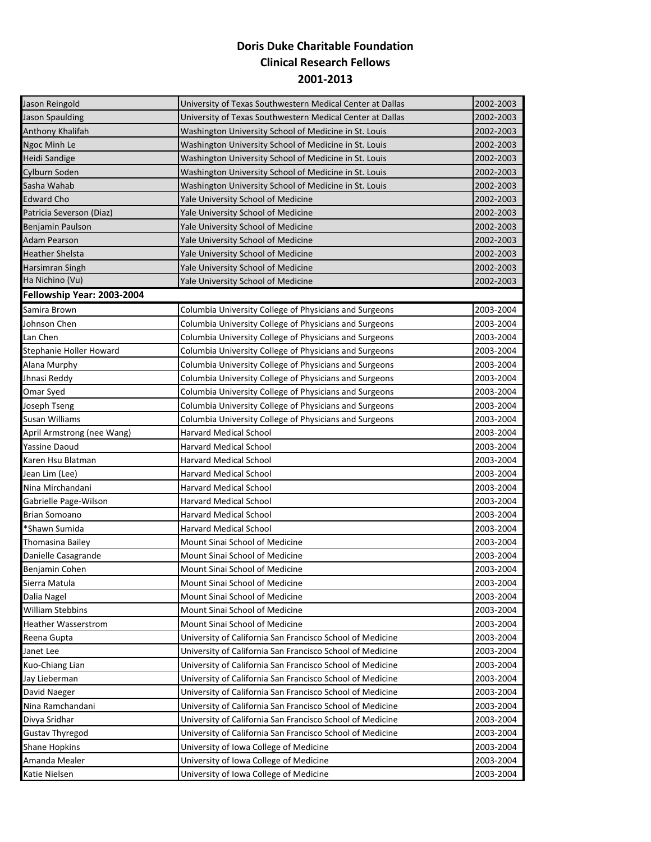<span id="page-2-0"></span>

| Jason Reingold             | University of Texas Southwestern Medical Center at Dallas | 2002-2003 |
|----------------------------|-----------------------------------------------------------|-----------|
| <b>Jason Spaulding</b>     | University of Texas Southwestern Medical Center at Dallas | 2002-2003 |
| Anthony Khalifah           | Washington University School of Medicine in St. Louis     | 2002-2003 |
| Ngoc Minh Le               | Washington University School of Medicine in St. Louis     | 2002-2003 |
| Heidi Sandige              | Washington University School of Medicine in St. Louis     | 2002-2003 |
| Cylburn Soden              | Washington University School of Medicine in St. Louis     | 2002-2003 |
| Sasha Wahab                | Washington University School of Medicine in St. Louis     | 2002-2003 |
| <b>Edward Cho</b>          | Yale University School of Medicine                        | 2002-2003 |
| Patricia Severson (Diaz)   | Yale University School of Medicine                        | 2002-2003 |
| Benjamin Paulson           | Yale University School of Medicine                        | 2002-2003 |
| Adam Pearson               | Yale University School of Medicine                        | 2002-2003 |
| Heather Shelsta            | Yale University School of Medicine                        | 2002-2003 |
| Harsimran Singh            | Yale University School of Medicine                        | 2002-2003 |
| Ha Nichino (Vu)            | Yale University School of Medicine                        | 2002-2003 |
| Fellowship Year: 2003-2004 |                                                           |           |
| Samira Brown               | Columbia University College of Physicians and Surgeons    | 2003-2004 |
| Johnson Chen               | Columbia University College of Physicians and Surgeons    | 2003-2004 |
| Lan Chen                   | Columbia University College of Physicians and Surgeons    | 2003-2004 |
| Stephanie Holler Howard    | Columbia University College of Physicians and Surgeons    | 2003-2004 |
| Alana Murphy               | Columbia University College of Physicians and Surgeons    | 2003-2004 |
| Jhnasi Reddy               | Columbia University College of Physicians and Surgeons    | 2003-2004 |
| Omar Syed                  | Columbia University College of Physicians and Surgeons    | 2003-2004 |
| Joseph Tseng               | Columbia University College of Physicians and Surgeons    | 2003-2004 |
| Susan Williams             | Columbia University College of Physicians and Surgeons    | 2003-2004 |
| April Armstrong (nee Wang) | <b>Harvard Medical School</b>                             | 2003-2004 |
| Yassine Daoud              | <b>Harvard Medical School</b>                             | 2003-2004 |
| Karen Hsu Blatman          | <b>Harvard Medical School</b>                             | 2003-2004 |
| Jean Lim (Lee)             | <b>Harvard Medical School</b>                             | 2003-2004 |
| Nina Mirchandani           | <b>Harvard Medical School</b>                             | 2003-2004 |
| Gabrielle Page-Wilson      | <b>Harvard Medical School</b>                             | 2003-2004 |
| <b>Brian Somoano</b>       | Harvard Medical School                                    | 2003-2004 |
| *Shawn Sumida              | <b>Harvard Medical School</b>                             | 2003-2004 |
| Thomasina Bailey           | Mount Sinai School of Medicine                            | 2003-2004 |
| Danielle Casagrande        | Mount Sinai School of Medicine                            | 2003-2004 |
| Benjamin Cohen             | Mount Sinai School of Medicine                            | 2003-2004 |
| Sierra Matula              | Mount Sinai School of Medicine                            | 2003-2004 |
| Dalia Nagel                | Mount Sinai School of Medicine                            | 2003-2004 |
| <b>William Stebbins</b>    | Mount Sinai School of Medicine                            | 2003-2004 |
| <b>Heather Wasserstrom</b> | Mount Sinai School of Medicine                            | 2003-2004 |
| Reena Gupta                | University of California San Francisco School of Medicine | 2003-2004 |
| Janet Lee                  | University of California San Francisco School of Medicine | 2003-2004 |
| Kuo-Chiang Lian            | University of California San Francisco School of Medicine | 2003-2004 |
| Jay Lieberman              | University of California San Francisco School of Medicine | 2003-2004 |
| David Naeger               | University of California San Francisco School of Medicine | 2003-2004 |
| Nina Ramchandani           | University of California San Francisco School of Medicine | 2003-2004 |
| Divya Sridhar              | University of California San Francisco School of Medicine | 2003-2004 |
| <b>Gustav Thyregod</b>     | University of California San Francisco School of Medicine | 2003-2004 |
| <b>Shane Hopkins</b>       | University of Iowa College of Medicine                    | 2003-2004 |
| Amanda Mealer              | University of Iowa College of Medicine                    | 2003-2004 |
| Katie Nielsen              | University of Iowa College of Medicine                    | 2003-2004 |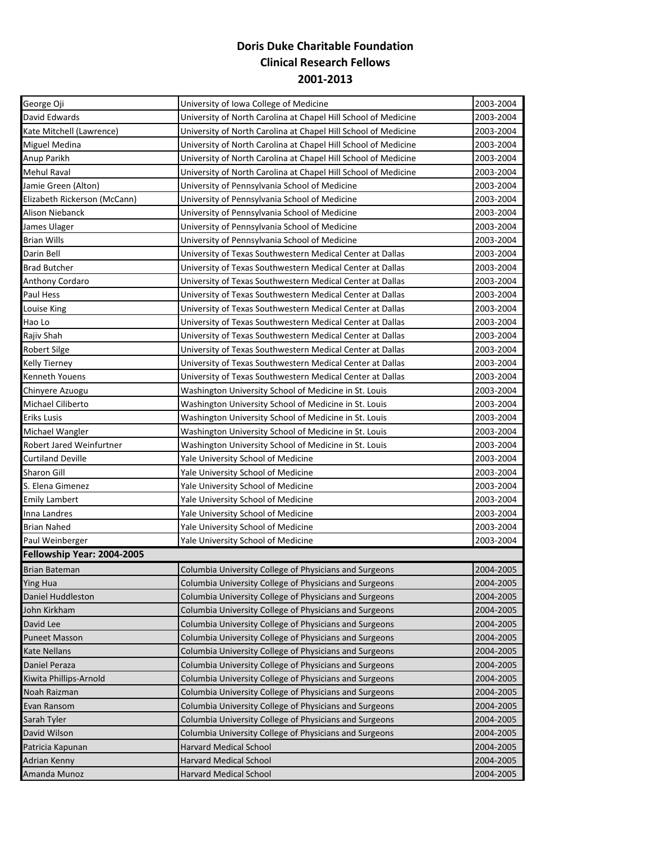<span id="page-3-0"></span>

| George Oji                   | University of Iowa College of Medicine                         | 2003-2004 |
|------------------------------|----------------------------------------------------------------|-----------|
| David Edwards                | University of North Carolina at Chapel Hill School of Medicine | 2003-2004 |
| Kate Mitchell (Lawrence)     | University of North Carolina at Chapel Hill School of Medicine | 2003-2004 |
| Miguel Medina                | University of North Carolina at Chapel Hill School of Medicine | 2003-2004 |
| Anup Parikh                  | University of North Carolina at Chapel Hill School of Medicine | 2003-2004 |
| Mehul Raval                  | University of North Carolina at Chapel Hill School of Medicine | 2003-2004 |
| Jamie Green (Alton)          | University of Pennsylvania School of Medicine                  | 2003-2004 |
| Elizabeth Rickerson (McCann) | University of Pennsylvania School of Medicine                  | 2003-2004 |
| Alison Niebanck              | University of Pennsylvania School of Medicine                  | 2003-2004 |
| James Ulager                 | University of Pennsylvania School of Medicine                  | 2003-2004 |
| <b>Brian Wills</b>           | University of Pennsylvania School of Medicine                  | 2003-2004 |
| Darin Bell                   | University of Texas Southwestern Medical Center at Dallas      | 2003-2004 |
| <b>Brad Butcher</b>          | University of Texas Southwestern Medical Center at Dallas      | 2003-2004 |
| Anthony Cordaro              | University of Texas Southwestern Medical Center at Dallas      | 2003-2004 |
| Paul Hess                    | University of Texas Southwestern Medical Center at Dallas      | 2003-2004 |
| Louise King                  | University of Texas Southwestern Medical Center at Dallas      | 2003-2004 |
| Hao Lo                       | University of Texas Southwestern Medical Center at Dallas      | 2003-2004 |
| Rajiv Shah                   | University of Texas Southwestern Medical Center at Dallas      | 2003-2004 |
| Robert Silge                 | University of Texas Southwestern Medical Center at Dallas      | 2003-2004 |
| <b>Kelly Tierney</b>         | University of Texas Southwestern Medical Center at Dallas      | 2003-2004 |
| <b>Kenneth Youens</b>        | University of Texas Southwestern Medical Center at Dallas      | 2003-2004 |
| Chinyere Azuogu              | Washington University School of Medicine in St. Louis          | 2003-2004 |
| Michael Ciliberto            | Washington University School of Medicine in St. Louis          | 2003-2004 |
| <b>Eriks Lusis</b>           | Washington University School of Medicine in St. Louis          | 2003-2004 |
| Michael Wangler              | Washington University School of Medicine in St. Louis          | 2003-2004 |
| Robert Jared Weinfurtner     | Washington University School of Medicine in St. Louis          | 2003-2004 |
| <b>Curtiland Deville</b>     | Yale University School of Medicine                             | 2003-2004 |
| Sharon Gill                  | Yale University School of Medicine                             | 2003-2004 |
| S. Elena Gimenez             | Yale University School of Medicine                             | 2003-2004 |
| <b>Emily Lambert</b>         | Yale University School of Medicine                             | 2003-2004 |
| Inna Landres                 | Yale University School of Medicine                             | 2003-2004 |
| <b>Brian Nahed</b>           | Yale University School of Medicine                             | 2003-2004 |
| Paul Weinberger              | Yale University School of Medicine                             | 2003-2004 |
| Fellowship Year: 2004-2005   |                                                                |           |
| <b>Brian Bateman</b>         | Columbia University College of Physicians and Surgeons         | 2004-2005 |
| <b>Ying Hua</b>              | Columbia University College of Physicians and Surgeons         | 2004-2005 |
| Daniel Huddleston            | Columbia University College of Physicians and Surgeons         | 2004-2005 |
| John Kirkham                 | Columbia University College of Physicians and Surgeons         | 2004-2005 |
| David Lee                    | Columbia University College of Physicians and Surgeons         | 2004-2005 |
| <b>Puneet Masson</b>         | Columbia University College of Physicians and Surgeons         | 2004-2005 |
| Kate Nellans                 | Columbia University College of Physicians and Surgeons         | 2004-2005 |
| Daniel Peraza                | Columbia University College of Physicians and Surgeons         | 2004-2005 |
| Kiwita Phillips-Arnold       | Columbia University College of Physicians and Surgeons         | 2004-2005 |
| Noah Raizman                 | Columbia University College of Physicians and Surgeons         | 2004-2005 |
| Evan Ransom                  | Columbia University College of Physicians and Surgeons         | 2004-2005 |
| Sarah Tyler                  | Columbia University College of Physicians and Surgeons         | 2004-2005 |
| David Wilson                 | Columbia University College of Physicians and Surgeons         | 2004-2005 |
| Patricia Kapunan             | <b>Harvard Medical School</b>                                  | 2004-2005 |
| Adrian Kenny                 | <b>Harvard Medical School</b>                                  | 2004-2005 |
| Amanda Munoz                 | <b>Harvard Medical School</b>                                  | 2004-2005 |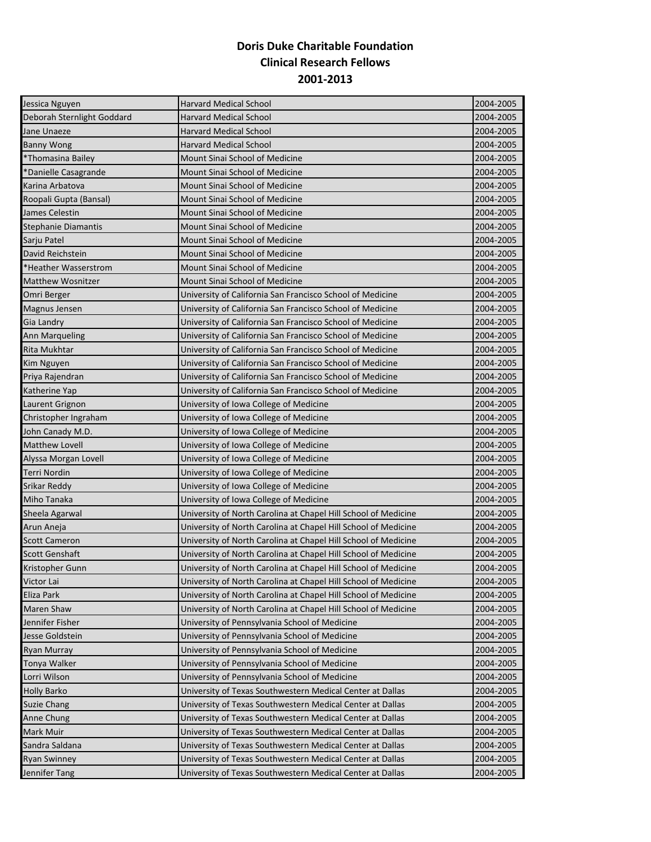| Jessica Nguyen             | <b>Harvard Medical School</b>                                  | 2004-2005 |
|----------------------------|----------------------------------------------------------------|-----------|
| Deborah Sternlight Goddard | Harvard Medical School                                         | 2004-2005 |
| Jane Unaeze                | <b>Harvard Medical School</b>                                  | 2004-2005 |
| <b>Banny Wong</b>          | <b>Harvard Medical School</b>                                  | 2004-2005 |
| *Thomasina Bailey          | Mount Sinai School of Medicine                                 | 2004-2005 |
| *Danielle Casagrande       | Mount Sinai School of Medicine                                 | 2004-2005 |
| Karina Arbatova            | Mount Sinai School of Medicine                                 | 2004-2005 |
| Roopali Gupta (Bansal)     | Mount Sinai School of Medicine                                 | 2004-2005 |
| James Celestin             | Mount Sinai School of Medicine                                 | 2004-2005 |
| Stephanie Diamantis        | Mount Sinai School of Medicine                                 | 2004-2005 |
| Sarju Patel                | Mount Sinai School of Medicine                                 | 2004-2005 |
| David Reichstein           | Mount Sinai School of Medicine                                 | 2004-2005 |
| *Heather Wasserstrom       | Mount Sinai School of Medicine                                 | 2004-2005 |
| Matthew Wosnitzer          | Mount Sinai School of Medicine                                 | 2004-2005 |
| Omri Berger                | University of California San Francisco School of Medicine      | 2004-2005 |
| Magnus Jensen              | University of California San Francisco School of Medicine      | 2004-2005 |
| Gia Landry                 | University of California San Francisco School of Medicine      | 2004-2005 |
| <b>Ann Marqueling</b>      | University of California San Francisco School of Medicine      | 2004-2005 |
| Rita Mukhtar               | University of California San Francisco School of Medicine      | 2004-2005 |
| Kim Nguyen                 | University of California San Francisco School of Medicine      | 2004-2005 |
| Priya Rajendran            | University of California San Francisco School of Medicine      | 2004-2005 |
| Katherine Yap              | University of California San Francisco School of Medicine      | 2004-2005 |
| Laurent Grignon            | University of Iowa College of Medicine                         | 2004-2005 |
| Christopher Ingraham       | University of Iowa College of Medicine                         | 2004-2005 |
| John Canady M.D.           | University of Iowa College of Medicine                         | 2004-2005 |
| <b>Matthew Lovell</b>      | University of Iowa College of Medicine                         | 2004-2005 |
| Alyssa Morgan Lovell       | University of Iowa College of Medicine                         | 2004-2005 |
| Terri Nordin               | University of Iowa College of Medicine                         | 2004-2005 |
| Srikar Reddy               | University of Iowa College of Medicine                         | 2004-2005 |
| Miho Tanaka                | University of Iowa College of Medicine                         | 2004-2005 |
| Sheela Agarwal             | University of North Carolina at Chapel Hill School of Medicine | 2004-2005 |
| Arun Aneja                 | University of North Carolina at Chapel Hill School of Medicine | 2004-2005 |
| Scott Cameron              | University of North Carolina at Chapel Hill School of Medicine | 2004-2005 |
| Scott Genshaft             | University of North Carolina at Chapel Hill School of Medicine | 2004-2005 |
| Kristopher Gunn            | University of North Carolina at Chapel Hill School of Medicine | 2004-2005 |
| Victor Lai                 | University of North Carolina at Chapel Hill School of Medicine | 2004-2005 |
| Eliza Park                 | University of North Carolina at Chapel Hill School of Medicine | 2004-2005 |
| Maren Shaw                 | University of North Carolina at Chapel Hill School of Medicine | 2004-2005 |
| Jennifer Fisher            | University of Pennsylvania School of Medicine                  | 2004-2005 |
| Jesse Goldstein            | University of Pennsylvania School of Medicine                  | 2004-2005 |
| <b>Ryan Murray</b>         | University of Pennsylvania School of Medicine                  | 2004-2005 |
| Tonya Walker               | University of Pennsylvania School of Medicine                  | 2004-2005 |
| Lorri Wilson               | University of Pennsylvania School of Medicine                  | 2004-2005 |
| <b>Holly Barko</b>         | University of Texas Southwestern Medical Center at Dallas      | 2004-2005 |
| Suzie Chang                | University of Texas Southwestern Medical Center at Dallas      | 2004-2005 |
| Anne Chung                 | University of Texas Southwestern Medical Center at Dallas      | 2004-2005 |
| Mark Muir                  | University of Texas Southwestern Medical Center at Dallas      | 2004-2005 |
| Sandra Saldana             | University of Texas Southwestern Medical Center at Dallas      | 2004-2005 |
| Ryan Swinney               | University of Texas Southwestern Medical Center at Dallas      | 2004-2005 |
| Jennifer Tang              | University of Texas Southwestern Medical Center at Dallas      | 2004-2005 |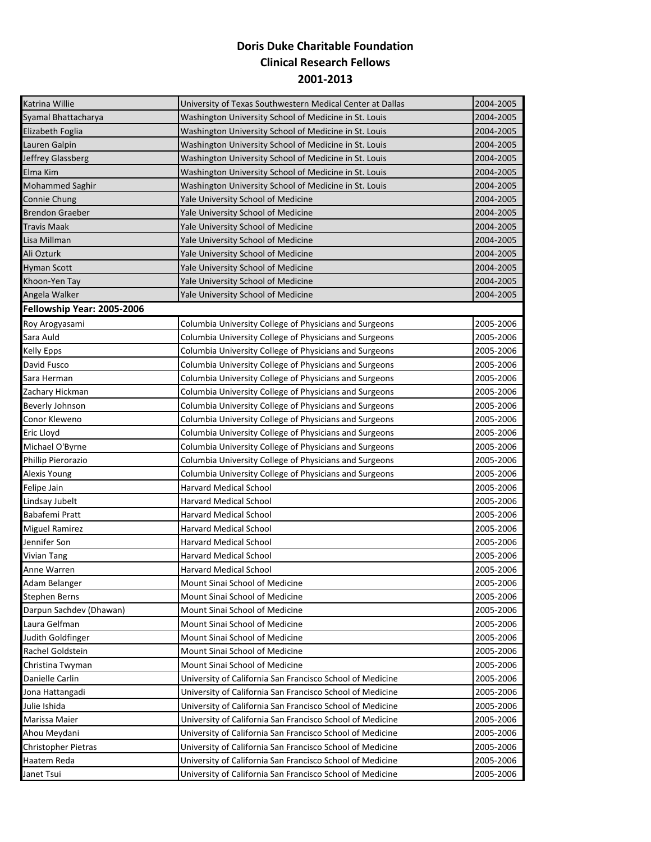<span id="page-5-0"></span>

| Katrina Willie             | University of Texas Southwestern Medical Center at Dallas | 2004-2005 |
|----------------------------|-----------------------------------------------------------|-----------|
| Syamal Bhattacharya        | Washington University School of Medicine in St. Louis     | 2004-2005 |
| Elizabeth Foglia           | Washington University School of Medicine in St. Louis     | 2004-2005 |
| Lauren Galpin              | Washington University School of Medicine in St. Louis     | 2004-2005 |
| Jeffrey Glassberg          | Washington University School of Medicine in St. Louis     | 2004-2005 |
| Elma Kim                   | Washington University School of Medicine in St. Louis     | 2004-2005 |
| <b>Mohammed Saghir</b>     | Washington University School of Medicine in St. Louis     | 2004-2005 |
| Connie Chung               | Yale University School of Medicine                        | 2004-2005 |
| Brendon Graeber            | Yale University School of Medicine                        | 2004-2005 |
| Travis Maak                | Yale University School of Medicine                        | 2004-2005 |
| Lisa Millman               | Yale University School of Medicine                        | 2004-2005 |
| Ali Ozturk                 | Yale University School of Medicine                        | 2004-2005 |
| Hyman Scott                | Yale University School of Medicine                        | 2004-2005 |
| Khoon-Yen Tay              | Yale University School of Medicine                        | 2004-2005 |
| Angela Walker              | Yale University School of Medicine                        | 2004-2005 |
| Fellowship Year: 2005-2006 |                                                           |           |
| Roy Arogyasami             | Columbia University College of Physicians and Surgeons    | 2005-2006 |
| Sara Auld                  | Columbia University College of Physicians and Surgeons    | 2005-2006 |
| Kelly Epps                 | Columbia University College of Physicians and Surgeons    | 2005-2006 |
| David Fusco                | Columbia University College of Physicians and Surgeons    | 2005-2006 |
| Sara Herman                | Columbia University College of Physicians and Surgeons    | 2005-2006 |
| Zachary Hickman            | Columbia University College of Physicians and Surgeons    | 2005-2006 |
| Beverly Johnson            | Columbia University College of Physicians and Surgeons    | 2005-2006 |
| Conor Kleweno              | Columbia University College of Physicians and Surgeons    | 2005-2006 |
| Eric Lloyd                 | Columbia University College of Physicians and Surgeons    | 2005-2006 |
| Michael O'Byrne            | Columbia University College of Physicians and Surgeons    | 2005-2006 |
| Phillip Pierorazio         | Columbia University College of Physicians and Surgeons    | 2005-2006 |
| Alexis Young               | Columbia University College of Physicians and Surgeons    | 2005-2006 |
| Felipe Jain                | <b>Harvard Medical School</b>                             | 2005-2006 |
| Lindsay Jubelt             | <b>Harvard Medical School</b>                             | 2005-2006 |
| Babafemi Pratt             | <b>Harvard Medical School</b>                             | 2005-2006 |
| <b>Miguel Ramirez</b>      | <b>Harvard Medical School</b>                             | 2005-2006 |
| Jennifer Son               | <b>Harvard Medical School</b>                             | 2005-2006 |
| Vivian Tang                | <b>Harvard Medical School</b>                             | 2005-2006 |
| Anne Warren                | Harvard Medical School                                    | 2005-2006 |
| Adam Belanger              | Mount Sinai School of Medicine                            | 2005-2006 |
| Stephen Berns              | Mount Sinai School of Medicine                            | 2005-2006 |
| Darpun Sachdev (Dhawan)    | Mount Sinai School of Medicine                            | 2005-2006 |
| Laura Gelfman              | Mount Sinai School of Medicine                            | 2005-2006 |
| Judith Goldfinger          | Mount Sinai School of Medicine                            | 2005-2006 |
| Rachel Goldstein           | Mount Sinai School of Medicine                            | 2005-2006 |
| Christina Twyman           | Mount Sinai School of Medicine                            | 2005-2006 |
| Danielle Carlin            | University of California San Francisco School of Medicine | 2005-2006 |
| Jona Hattangadi            | University of California San Francisco School of Medicine | 2005-2006 |
| Julie Ishida               | University of California San Francisco School of Medicine | 2005-2006 |
| Marissa Maier              | University of California San Francisco School of Medicine | 2005-2006 |
| Ahou Meydani               | University of California San Francisco School of Medicine | 2005-2006 |
| Christopher Pietras        | University of California San Francisco School of Medicine | 2005-2006 |
| Haatem Reda                | University of California San Francisco School of Medicine | 2005-2006 |
| Janet Tsui                 | University of California San Francisco School of Medicine | 2005-2006 |
|                            |                                                           |           |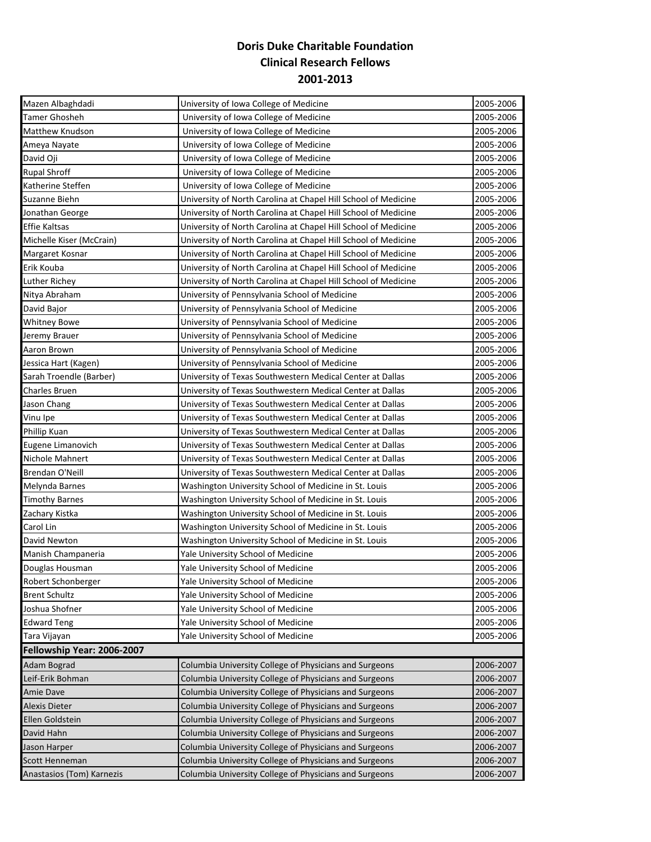<span id="page-6-0"></span>

| Mazen Albaghdadi           | University of Iowa College of Medicine                         | 2005-2006 |
|----------------------------|----------------------------------------------------------------|-----------|
| <b>Tamer Ghosheh</b>       | University of Iowa College of Medicine                         | 2005-2006 |
| <b>Matthew Knudson</b>     | University of Iowa College of Medicine                         | 2005-2006 |
| Ameya Nayate               | University of Iowa College of Medicine                         | 2005-2006 |
| David Oji                  | University of Iowa College of Medicine                         | 2005-2006 |
| <b>Rupal Shroff</b>        | University of Iowa College of Medicine                         | 2005-2006 |
| Katherine Steffen          | University of Iowa College of Medicine                         | 2005-2006 |
| Suzanne Biehn              | University of North Carolina at Chapel Hill School of Medicine | 2005-2006 |
| Jonathan George            | University of North Carolina at Chapel Hill School of Medicine | 2005-2006 |
| Effie Kaltsas              | University of North Carolina at Chapel Hill School of Medicine | 2005-2006 |
| Michelle Kiser (McCrain)   | University of North Carolina at Chapel Hill School of Medicine | 2005-2006 |
| Margaret Kosnar            | University of North Carolina at Chapel Hill School of Medicine | 2005-2006 |
| Erik Kouba                 | University of North Carolina at Chapel Hill School of Medicine | 2005-2006 |
| Luther Richey              | University of North Carolina at Chapel Hill School of Medicine | 2005-2006 |
| Nitya Abraham              | University of Pennsylvania School of Medicine                  | 2005-2006 |
| David Bajor                | University of Pennsylvania School of Medicine                  | 2005-2006 |
| Whitney Bowe               | University of Pennsylvania School of Medicine                  | 2005-2006 |
| Jeremy Brauer              | University of Pennsylvania School of Medicine                  | 2005-2006 |
| Aaron Brown                | University of Pennsylvania School of Medicine                  | 2005-2006 |
| Jessica Hart (Kagen)       | University of Pennsylvania School of Medicine                  | 2005-2006 |
| Sarah Troendle (Barber)    | University of Texas Southwestern Medical Center at Dallas      | 2005-2006 |
| Charles Bruen              | University of Texas Southwestern Medical Center at Dallas      | 2005-2006 |
| Jason Chang                | University of Texas Southwestern Medical Center at Dallas      | 2005-2006 |
| Vinu Ipe                   | University of Texas Southwestern Medical Center at Dallas      | 2005-2006 |
| Phillip Kuan               | University of Texas Southwestern Medical Center at Dallas      | 2005-2006 |
| Eugene Limanovich          | University of Texas Southwestern Medical Center at Dallas      | 2005-2006 |
| Nichole Mahnert            | University of Texas Southwestern Medical Center at Dallas      | 2005-2006 |
| Brendan O'Neill            | University of Texas Southwestern Medical Center at Dallas      | 2005-2006 |
| Melynda Barnes             | Washington University School of Medicine in St. Louis          | 2005-2006 |
| <b>Timothy Barnes</b>      | Washington University School of Medicine in St. Louis          | 2005-2006 |
| Zachary Kistka             | Washington University School of Medicine in St. Louis          | 2005-2006 |
| Carol Lin                  | Washington University School of Medicine in St. Louis          | 2005-2006 |
| David Newton               | Washington University School of Medicine in St. Louis          | 2005-2006 |
| Manish Champaneria         | Yale University School of Medicine                             | 2005-2006 |
| Douglas Housman            | Yale University School of Medicine                             | 2005-2006 |
| Robert Schonberger         | Yale University School of Medicine                             | 2005-2006 |
| <b>Brent Schultz</b>       | Yale University School of Medicine                             | 2005-2006 |
| Joshua Shofner             | Yale University School of Medicine                             | 2005-2006 |
| <b>Edward Teng</b>         | Yale University School of Medicine                             | 2005-2006 |
| Tara Vijayan               | Yale University School of Medicine                             | 2005-2006 |
| Fellowship Year: 2006-2007 |                                                                |           |
| Adam Bograd                | Columbia University College of Physicians and Surgeons         | 2006-2007 |
| Leif-Erik Bohman           | Columbia University College of Physicians and Surgeons         | 2006-2007 |
| <b>Amie Dave</b>           | Columbia University College of Physicians and Surgeons         | 2006-2007 |
| Alexis Dieter              | Columbia University College of Physicians and Surgeons         | 2006-2007 |
| Ellen Goldstein            | Columbia University College of Physicians and Surgeons         | 2006-2007 |
| David Hahn                 | Columbia University College of Physicians and Surgeons         | 2006-2007 |
| Jason Harper               | Columbia University College of Physicians and Surgeons         | 2006-2007 |
| Scott Henneman             | Columbia University College of Physicians and Surgeons         | 2006-2007 |
| Anastasios (Tom) Karnezis  | Columbia University College of Physicians and Surgeons         | 2006-2007 |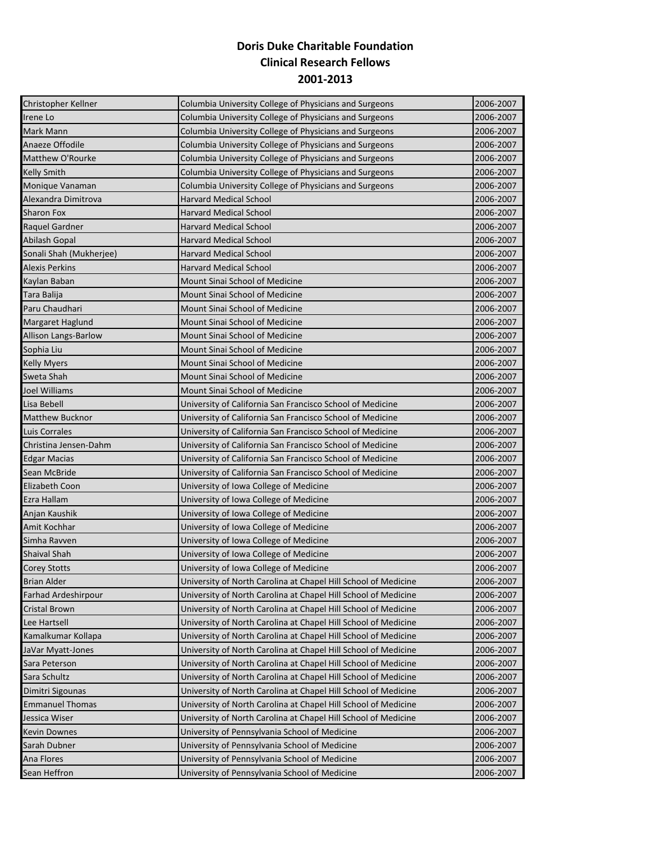| Christopher Kellner         | Columbia University College of Physicians and Surgeons         | 2006-2007 |
|-----------------------------|----------------------------------------------------------------|-----------|
| Irene Lo                    | Columbia University College of Physicians and Surgeons         | 2006-2007 |
| Mark Mann                   | Columbia University College of Physicians and Surgeons         | 2006-2007 |
| Anaeze Offodile             | Columbia University College of Physicians and Surgeons         | 2006-2007 |
| <b>Matthew O'Rourke</b>     | Columbia University College of Physicians and Surgeons         | 2006-2007 |
| <b>Kelly Smith</b>          | Columbia University College of Physicians and Surgeons         | 2006-2007 |
| Monique Vanaman             | Columbia University College of Physicians and Surgeons         | 2006-2007 |
| Alexandra Dimitrova         | Harvard Medical School                                         | 2006-2007 |
| Sharon Fox                  | <b>Harvard Medical School</b>                                  | 2006-2007 |
| Raquel Gardner              | <b>Harvard Medical School</b>                                  | 2006-2007 |
| Abilash Gopal               | <b>Harvard Medical School</b>                                  | 2006-2007 |
| Sonali Shah (Mukherjee)     | Harvard Medical School                                         | 2006-2007 |
| Alexis Perkins              | Harvard Medical School                                         | 2006-2007 |
| Kaylan Baban                | Mount Sinai School of Medicine                                 | 2006-2007 |
| Tara Balija                 | Mount Sinai School of Medicine                                 | 2006-2007 |
| Paru Chaudhari              | Mount Sinai School of Medicine                                 | 2006-2007 |
| Margaret Haglund            | Mount Sinai School of Medicine                                 | 2006-2007 |
| <b>Allison Langs-Barlow</b> | Mount Sinai School of Medicine                                 | 2006-2007 |
| Sophia Liu                  | Mount Sinai School of Medicine                                 | 2006-2007 |
| <b>Kelly Myers</b>          | Mount Sinai School of Medicine                                 | 2006-2007 |
| Sweta Shah                  | Mount Sinai School of Medicine                                 | 2006-2007 |
| Joel Williams               | Mount Sinai School of Medicine                                 | 2006-2007 |
| Lisa Bebell                 | University of California San Francisco School of Medicine      | 2006-2007 |
| <b>Matthew Bucknor</b>      | University of California San Francisco School of Medicine      | 2006-2007 |
| Luis Corrales               | University of California San Francisco School of Medicine      | 2006-2007 |
| Christina Jensen-Dahm       | University of California San Francisco School of Medicine      | 2006-2007 |
| <b>Edgar Macias</b>         | University of California San Francisco School of Medicine      | 2006-2007 |
| Sean McBride                | University of California San Francisco School of Medicine      | 2006-2007 |
| Elizabeth Coon              | University of Iowa College of Medicine                         | 2006-2007 |
| Ezra Hallam                 | University of Iowa College of Medicine                         | 2006-2007 |
| Anjan Kaushik               | University of Iowa College of Medicine                         | 2006-2007 |
| Amit Kochhar                | University of Iowa College of Medicine                         | 2006-2007 |
| Simha Ravven                | University of Iowa College of Medicine                         | 2006-2007 |
| <b>Shaival Shah</b>         | University of Iowa College of Medicine                         | 2006-2007 |
| <b>Corey Stotts</b>         | University of Iowa College of Medicine                         | 2006-2007 |
| <b>Brian Alder</b>          | University of North Carolina at Chapel Hill School of Medicine | 2006-2007 |
| Farhad Ardeshirpour         | University of North Carolina at Chapel Hill School of Medicine | 2006-2007 |
| Cristal Brown               | University of North Carolina at Chapel Hill School of Medicine | 2006-2007 |
| Lee Hartsell                | University of North Carolina at Chapel Hill School of Medicine | 2006-2007 |
| Kamalkumar Kollapa          | University of North Carolina at Chapel Hill School of Medicine | 2006-2007 |
| JaVar Myatt-Jones           | University of North Carolina at Chapel Hill School of Medicine | 2006-2007 |
| Sara Peterson               | University of North Carolina at Chapel Hill School of Medicine | 2006-2007 |
| Sara Schultz                | University of North Carolina at Chapel Hill School of Medicine | 2006-2007 |
| Dimitri Sigounas            | University of North Carolina at Chapel Hill School of Medicine | 2006-2007 |
| <b>Emmanuel Thomas</b>      | University of North Carolina at Chapel Hill School of Medicine | 2006-2007 |
| Jessica Wiser               | University of North Carolina at Chapel Hill School of Medicine | 2006-2007 |
| Kevin Downes                | University of Pennsylvania School of Medicine                  | 2006-2007 |
| Sarah Dubner                | University of Pennsylvania School of Medicine                  | 2006-2007 |
| Ana Flores                  | University of Pennsylvania School of Medicine                  | 2006-2007 |
| Sean Heffron                | University of Pennsylvania School of Medicine                  | 2006-2007 |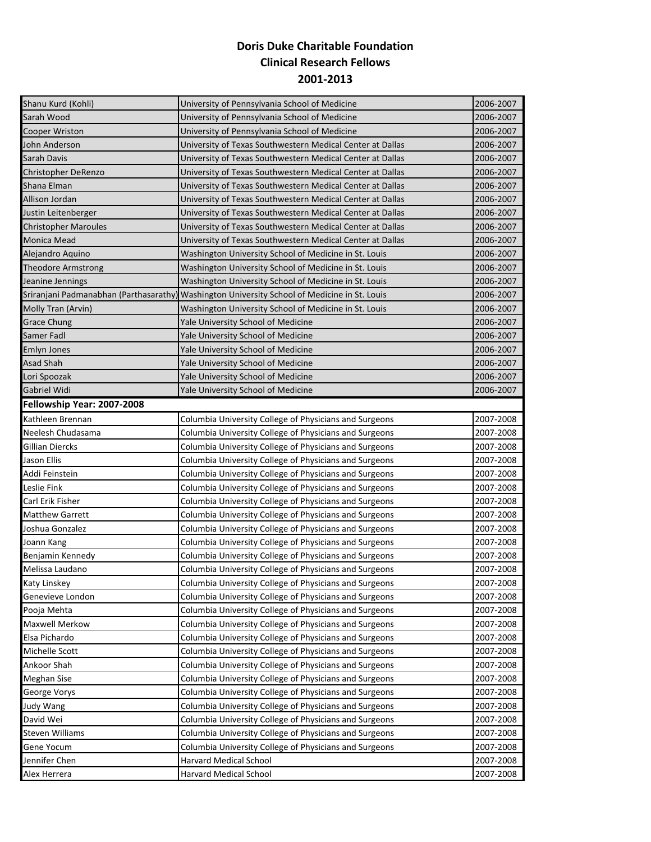<span id="page-8-0"></span>

| Shanu Kurd (Kohli)                     | University of Pennsylvania School of Medicine             | 2006-2007 |
|----------------------------------------|-----------------------------------------------------------|-----------|
| Sarah Wood                             | University of Pennsylvania School of Medicine             | 2006-2007 |
| <b>Cooper Wriston</b>                  | University of Pennsylvania School of Medicine             | 2006-2007 |
| John Anderson                          | University of Texas Southwestern Medical Center at Dallas | 2006-2007 |
| Sarah Davis                            | University of Texas Southwestern Medical Center at Dallas | 2006-2007 |
| Christopher DeRenzo                    | University of Texas Southwestern Medical Center at Dallas | 2006-2007 |
| Shana Elman                            | University of Texas Southwestern Medical Center at Dallas | 2006-2007 |
| Allison Jordan                         | University of Texas Southwestern Medical Center at Dallas | 2006-2007 |
| Justin Leitenberger                    | University of Texas Southwestern Medical Center at Dallas | 2006-2007 |
| <b>Christopher Maroules</b>            | University of Texas Southwestern Medical Center at Dallas | 2006-2007 |
| Monica Mead                            | University of Texas Southwestern Medical Center at Dallas | 2006-2007 |
| Alejandro Aquino                       | Washington University School of Medicine in St. Louis     | 2006-2007 |
| <b>Theodore Armstrong</b>              | Washington University School of Medicine in St. Louis     | 2006-2007 |
| Jeanine Jennings                       | Washington University School of Medicine in St. Louis     | 2006-2007 |
| Sriranjani Padmanabhan (Parthasarathy) | Washington University School of Medicine in St. Louis     | 2006-2007 |
| Molly Tran (Arvin)                     | Washington University School of Medicine in St. Louis     | 2006-2007 |
| <b>Grace Chung</b>                     | Yale University School of Medicine                        | 2006-2007 |
| Samer Fadl                             | Yale University School of Medicine                        | 2006-2007 |
| <b>Emlyn Jones</b>                     | Yale University School of Medicine                        | 2006-2007 |
| Asad Shah                              | Yale University School of Medicine                        | 2006-2007 |
| Lori Spoozak                           | Yale University School of Medicine                        | 2006-2007 |
| Gabriel Widi                           | Yale University School of Medicine                        | 2006-2007 |
| Fellowship Year: 2007-2008             |                                                           |           |
| Kathleen Brennan                       | Columbia University College of Physicians and Surgeons    | 2007-2008 |
| Neelesh Chudasama                      | Columbia University College of Physicians and Surgeons    | 2007-2008 |
| Gillian Diercks                        | Columbia University College of Physicians and Surgeons    | 2007-2008 |
| Jason Ellis                            | Columbia University College of Physicians and Surgeons    | 2007-2008 |
| Addi Feinstein                         | Columbia University College of Physicians and Surgeons    | 2007-2008 |
| Leslie Fink                            | Columbia University College of Physicians and Surgeons    | 2007-2008 |
| Carl Erik Fisher                       | Columbia University College of Physicians and Surgeons    | 2007-2008 |
| <b>Matthew Garrett</b>                 | Columbia University College of Physicians and Surgeons    | 2007-2008 |
| Joshua Gonzalez                        | Columbia University College of Physicians and Surgeons    | 2007-2008 |
| Joann Kang                             | Columbia University College of Physicians and Surgeons    | 2007-2008 |
| Benjamin Kennedy                       | Columbia University College of Physicians and Surgeons    | 2007-2008 |
| Melissa Laudano                        | Columbia University College of Physicians and Surgeons    | 2007-2008 |
| Katy Linskey                           | Columbia University College of Physicians and Surgeons    | 2007-2008 |
| Genevieve London                       | Columbia University College of Physicians and Surgeons    | 2007-2008 |
| Pooja Mehta                            | Columbia University College of Physicians and Surgeons    | 2007-2008 |
| Maxwell Merkow                         | Columbia University College of Physicians and Surgeons    | 2007-2008 |
| Elsa Pichardo                          | Columbia University College of Physicians and Surgeons    | 2007-2008 |
| Michelle Scott                         | Columbia University College of Physicians and Surgeons    | 2007-2008 |
| Ankoor Shah                            | Columbia University College of Physicians and Surgeons    | 2007-2008 |
| Meghan Sise                            | Columbia University College of Physicians and Surgeons    | 2007-2008 |
| George Vorys                           | Columbia University College of Physicians and Surgeons    | 2007-2008 |
| Judy Wang                              | Columbia University College of Physicians and Surgeons    | 2007-2008 |
| David Wei                              | Columbia University College of Physicians and Surgeons    | 2007-2008 |
| Steven Williams                        | Columbia University College of Physicians and Surgeons    | 2007-2008 |
| Gene Yocum                             | Columbia University College of Physicians and Surgeons    | 2007-2008 |
| Jennifer Chen                          | <b>Harvard Medical School</b>                             | 2007-2008 |
| Alex Herrera                           | Harvard Medical School                                    | 2007-2008 |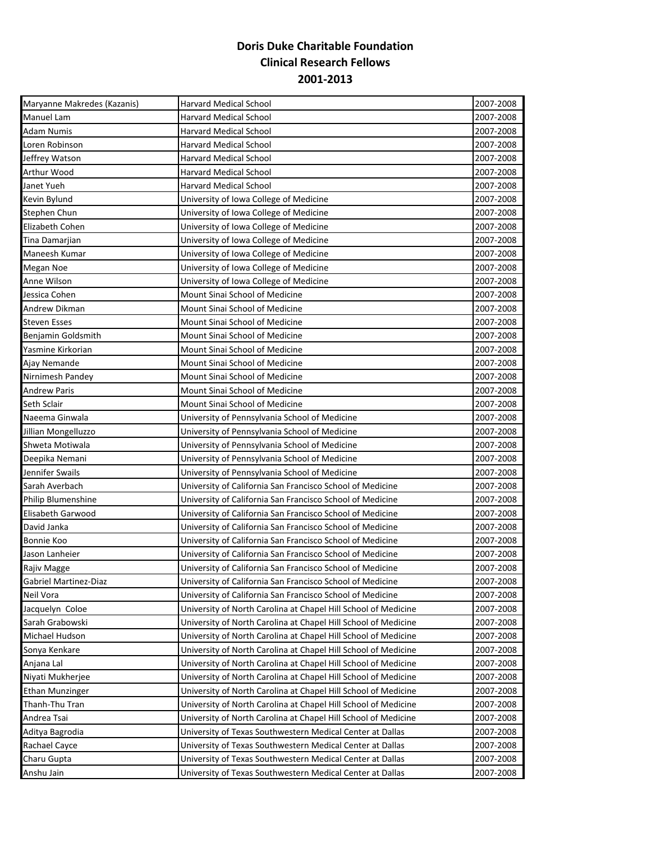| Maryanne Makredes (Kazanis)  | <b>Harvard Medical School</b>                                  | 2007-2008 |
|------------------------------|----------------------------------------------------------------|-----------|
| Manuel Lam                   | <b>Harvard Medical School</b>                                  | 2007-2008 |
| <b>Adam Numis</b>            | Harvard Medical School                                         | 2007-2008 |
| Loren Robinson               | <b>Harvard Medical School</b>                                  | 2007-2008 |
| Jeffrey Watson               | <b>Harvard Medical School</b>                                  | 2007-2008 |
| Arthur Wood                  | <b>Harvard Medical School</b>                                  | 2007-2008 |
| Janet Yueh                   | <b>Harvard Medical School</b>                                  | 2007-2008 |
| Kevin Bylund                 | University of Iowa College of Medicine                         | 2007-2008 |
| Stephen Chun                 | University of Iowa College of Medicine                         | 2007-2008 |
| Elizabeth Cohen              | University of Iowa College of Medicine                         | 2007-2008 |
| Tina Damarjian               | University of Iowa College of Medicine                         | 2007-2008 |
| Maneesh Kumar                | University of Iowa College of Medicine                         | 2007-2008 |
| Megan Noe                    | University of Iowa College of Medicine                         | 2007-2008 |
| Anne Wilson                  | University of Iowa College of Medicine                         | 2007-2008 |
| Jessica Cohen                | Mount Sinai School of Medicine                                 | 2007-2008 |
| Andrew Dikman                | Mount Sinai School of Medicine                                 | 2007-2008 |
| Steven Esses                 | Mount Sinai School of Medicine                                 | 2007-2008 |
| Benjamin Goldsmith           | Mount Sinai School of Medicine                                 | 2007-2008 |
| Yasmine Kirkorian            | Mount Sinai School of Medicine                                 | 2007-2008 |
| Ajay Nemande                 | Mount Sinai School of Medicine                                 | 2007-2008 |
| Nirnimesh Pandey             | Mount Sinai School of Medicine                                 | 2007-2008 |
| Andrew Paris                 | Mount Sinai School of Medicine                                 | 2007-2008 |
| Seth Sclair                  | Mount Sinai School of Medicine                                 | 2007-2008 |
| Naeema Ginwala               | University of Pennsylvania School of Medicine                  | 2007-2008 |
| Jillian Mongelluzzo          | University of Pennsylvania School of Medicine                  | 2007-2008 |
| Shweta Motiwala              | University of Pennsylvania School of Medicine                  | 2007-2008 |
| Deepika Nemani               | University of Pennsylvania School of Medicine                  | 2007-2008 |
| Jennifer Swails              | University of Pennsylvania School of Medicine                  | 2007-2008 |
| Sarah Averbach               | University of California San Francisco School of Medicine      | 2007-2008 |
| Philip Blumenshine           | University of California San Francisco School of Medicine      | 2007-2008 |
| Elisabeth Garwood            | University of California San Francisco School of Medicine      | 2007-2008 |
| David Janka                  | University of California San Francisco School of Medicine      | 2007-2008 |
| Bonnie Koo                   | University of California San Francisco School of Medicine      | 2007-2008 |
| Jason Lanheier               | University of California San Francisco School of Medicine      | 2007-2008 |
| Rajiv Magge                  | University of California San Francisco School of Medicine      | 2007-2008 |
| <b>Gabriel Martinez-Diaz</b> | University of California San Francisco School of Medicine      | 2007-2008 |
| Neil Vora                    | University of California San Francisco School of Medicine      | 2007-2008 |
| Jacquelyn Coloe              | University of North Carolina at Chapel Hill School of Medicine | 2007-2008 |
| Sarah Grabowski              | University of North Carolina at Chapel Hill School of Medicine | 2007-2008 |
| Michael Hudson               | University of North Carolina at Chapel Hill School of Medicine | 2007-2008 |
| Sonya Kenkare                | University of North Carolina at Chapel Hill School of Medicine | 2007-2008 |
| Anjana Lal                   | University of North Carolina at Chapel Hill School of Medicine | 2007-2008 |
| Niyati Mukherjee             | University of North Carolina at Chapel Hill School of Medicine | 2007-2008 |
| <b>Ethan Munzinger</b>       | University of North Carolina at Chapel Hill School of Medicine | 2007-2008 |
| Thanh-Thu Tran               | University of North Carolina at Chapel Hill School of Medicine | 2007-2008 |
| Andrea Tsai                  | University of North Carolina at Chapel Hill School of Medicine | 2007-2008 |
| Aditya Bagrodia              | University of Texas Southwestern Medical Center at Dallas      | 2007-2008 |
| Rachael Cayce                | University of Texas Southwestern Medical Center at Dallas      | 2007-2008 |
| Charu Gupta                  | University of Texas Southwestern Medical Center at Dallas      | 2007-2008 |
| Anshu Jain                   | University of Texas Southwestern Medical Center at Dallas      | 2007-2008 |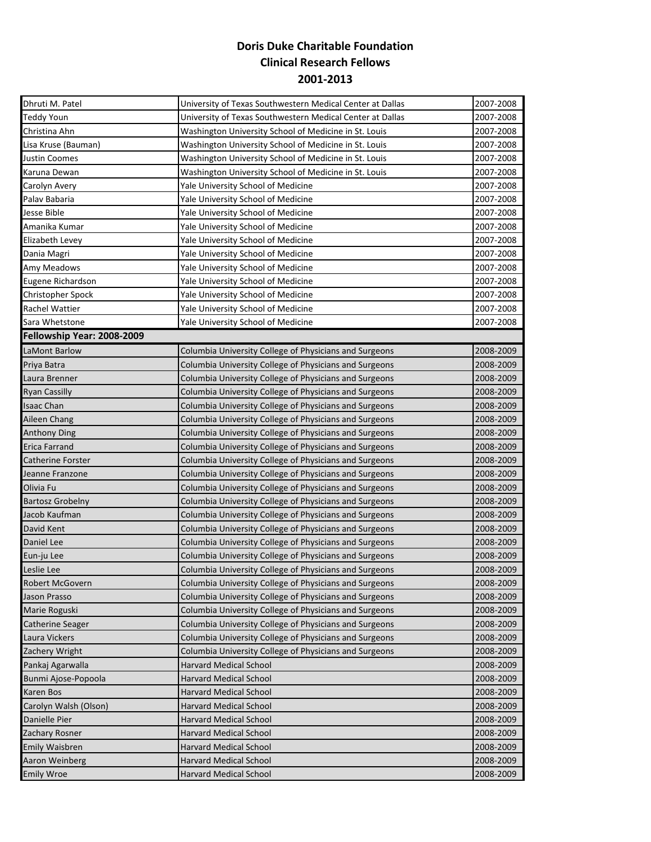<span id="page-10-0"></span>

| Dhruti M. Patel            | University of Texas Southwestern Medical Center at Dallas | 2007-2008 |
|----------------------------|-----------------------------------------------------------|-----------|
| <b>Teddy Youn</b>          | University of Texas Southwestern Medical Center at Dallas | 2007-2008 |
| Christina Ahn              | Washington University School of Medicine in St. Louis     | 2007-2008 |
| Lisa Kruse (Bauman)        | Washington University School of Medicine in St. Louis     | 2007-2008 |
| Justin Coomes              | Washington University School of Medicine in St. Louis     | 2007-2008 |
| Karuna Dewan               | Washington University School of Medicine in St. Louis     | 2007-2008 |
| Carolyn Avery              | Yale University School of Medicine                        | 2007-2008 |
| Palav Babaria              | Yale University School of Medicine                        | 2007-2008 |
| Jesse Bible                | Yale University School of Medicine                        | 2007-2008 |
| Amanika Kumar              | Yale University School of Medicine                        | 2007-2008 |
| Elizabeth Levev            | Yale University School of Medicine                        | 2007-2008 |
| Dania Magri                | Yale University School of Medicine                        | 2007-2008 |
| Amy Meadows                | Yale University School of Medicine                        | 2007-2008 |
| Eugene Richardson          | Yale University School of Medicine                        | 2007-2008 |
| Christopher Spock          | Yale University School of Medicine                        | 2007-2008 |
| Rachel Wattier             | Yale University School of Medicine                        | 2007-2008 |
| Sara Whetstone             | Yale University School of Medicine                        | 2007-2008 |
| Fellowship Year: 2008-2009 |                                                           |           |
| LaMont Barlow              | Columbia University College of Physicians and Surgeons    | 2008-2009 |
| Priya Batra                | Columbia University College of Physicians and Surgeons    | 2008-2009 |
| Laura Brenner              | Columbia University College of Physicians and Surgeons    | 2008-2009 |
| <b>Ryan Cassilly</b>       | Columbia University College of Physicians and Surgeons    | 2008-2009 |
| Isaac Chan                 | Columbia University College of Physicians and Surgeons    | 2008-2009 |
| Aileen Chang               | Columbia University College of Physicians and Surgeons    | 2008-2009 |
| <b>Anthony Ding</b>        | Columbia University College of Physicians and Surgeons    | 2008-2009 |
| Erica Farrand              | Columbia University College of Physicians and Surgeons    | 2008-2009 |
| Catherine Forster          | Columbia University College of Physicians and Surgeons    | 2008-2009 |
| Jeanne Franzone            | Columbia University College of Physicians and Surgeons    | 2008-2009 |
| Olivia Fu                  | Columbia University College of Physicians and Surgeons    | 2008-2009 |
| <b>Bartosz Grobelny</b>    | Columbia University College of Physicians and Surgeons    | 2008-2009 |
| Jacob Kaufman              | Columbia University College of Physicians and Surgeons    | 2008-2009 |
| David Kent                 | Columbia University College of Physicians and Surgeons    | 2008-2009 |
| Daniel Lee                 | Columbia University College of Physicians and Surgeons    | 2008-2009 |
| Eun-ju Lee                 | Columbia University College of Physicians and Surgeons    | 2008-2009 |
| Leslie Lee                 | Columbia University College of Physicians and Surgeons    | 2008-2009 |
| Robert McGovern            | Columbia University College of Physicians and Surgeons    | 2008-2009 |
| Jason Prasso               | Columbia University College of Physicians and Surgeons    | 2008-2009 |
| Marie Roguski              | Columbia University College of Physicians and Surgeons    | 2008-2009 |
| <b>Catherine Seager</b>    | Columbia University College of Physicians and Surgeons    | 2008-2009 |
| Laura Vickers              | Columbia University College of Physicians and Surgeons    | 2008-2009 |
| Zachery Wright             | Columbia University College of Physicians and Surgeons    | 2008-2009 |
| Pankaj Agarwalla           | <b>Harvard Medical School</b>                             | 2008-2009 |
| Bunmi Ajose-Popoola        | <b>Harvard Medical School</b>                             | 2008-2009 |
| Karen Bos                  | <b>Harvard Medical School</b>                             | 2008-2009 |
| Carolyn Walsh (Olson)      | <b>Harvard Medical School</b>                             | 2008-2009 |
| Danielle Pier              | <b>Harvard Medical School</b>                             | 2008-2009 |
| Zachary Rosner             | <b>Harvard Medical School</b>                             | 2008-2009 |
| <b>Emily Waisbren</b>      | <b>Harvard Medical School</b>                             | 2008-2009 |
| Aaron Weinberg             | Harvard Medical School                                    | 2008-2009 |
| <b>Emily Wroe</b>          | <b>Harvard Medical School</b>                             | 2008-2009 |
|                            |                                                           |           |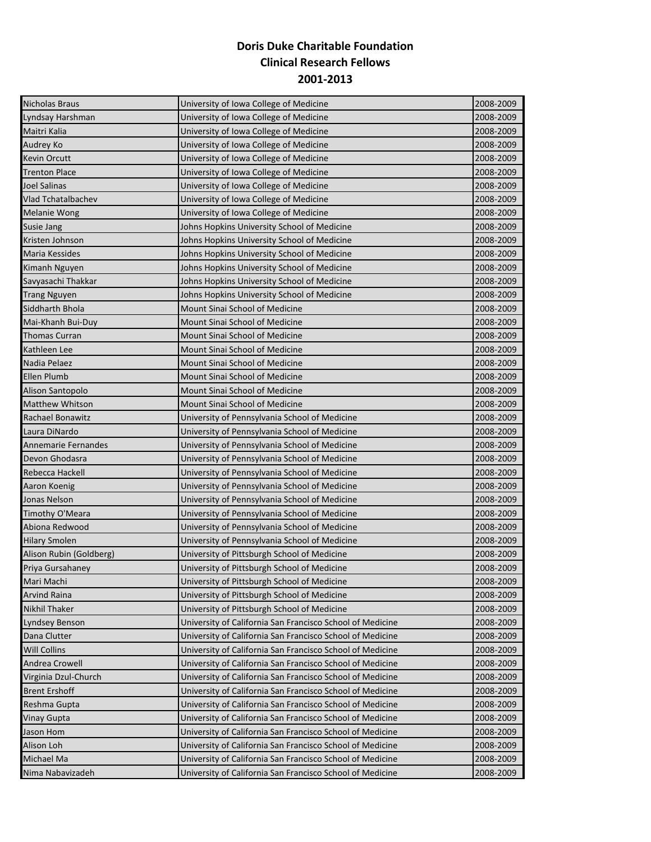| Nicholas Braus          | University of Iowa College of Medicine                    | 2008-2009 |
|-------------------------|-----------------------------------------------------------|-----------|
| Lyndsay Harshman        | University of Iowa College of Medicine                    | 2008-2009 |
| Maitri Kalia            | University of Iowa College of Medicine                    | 2008-2009 |
| Audrey Ko               | University of Iowa College of Medicine                    | 2008-2009 |
| Kevin Orcutt            | University of Iowa College of Medicine                    | 2008-2009 |
| <b>Trenton Place</b>    | University of Iowa College of Medicine                    | 2008-2009 |
| Joel Salinas            | University of Iowa College of Medicine                    | 2008-2009 |
| Vlad Tchatalbachev      | University of Iowa College of Medicine                    | 2008-2009 |
| Melanie Wong            | University of Iowa College of Medicine                    | 2008-2009 |
| Susie Jang              | Johns Hopkins University School of Medicine               | 2008-2009 |
| Kristen Johnson         | Johns Hopkins University School of Medicine               | 2008-2009 |
| Maria Kessides          | Johns Hopkins University School of Medicine               | 2008-2009 |
| Kimanh Nguyen           | Johns Hopkins University School of Medicine               | 2008-2009 |
| Savyasachi Thakkar      | Johns Hopkins University School of Medicine               | 2008-2009 |
| <b>Trang Nguyen</b>     | Johns Hopkins University School of Medicine               | 2008-2009 |
| Siddharth Bhola         | Mount Sinai School of Medicine                            | 2008-2009 |
| Mai-Khanh Bui-Duy       | Mount Sinai School of Medicine                            | 2008-2009 |
| Thomas Curran           | Mount Sinai School of Medicine                            | 2008-2009 |
| Kathleen Lee            | Mount Sinai School of Medicine                            | 2008-2009 |
| Nadia Pelaez            | Mount Sinai School of Medicine                            | 2008-2009 |
| <b>Ellen Plumb</b>      | Mount Sinai School of Medicine                            | 2008-2009 |
| Alison Santopolo        | Mount Sinai School of Medicine                            | 2008-2009 |
| Matthew Whitson         | Mount Sinai School of Medicine                            | 2008-2009 |
| Rachael Bonawitz        | University of Pennsylvania School of Medicine             | 2008-2009 |
| Laura DiNardo           | University of Pennsylvania School of Medicine             | 2008-2009 |
| Annemarie Fernandes     | University of Pennsylvania School of Medicine             | 2008-2009 |
| Devon Ghodasra          | University of Pennsylvania School of Medicine             | 2008-2009 |
| Rebecca Hackell         | University of Pennsylvania School of Medicine             | 2008-2009 |
| Aaron Koenig            | University of Pennsylvania School of Medicine             | 2008-2009 |
| Jonas Nelson            | University of Pennsylvania School of Medicine             | 2008-2009 |
| Timothy O'Meara         | University of Pennsylvania School of Medicine             | 2008-2009 |
| Abiona Redwood          | University of Pennsylvania School of Medicine             | 2008-2009 |
| <b>Hilary Smolen</b>    | University of Pennsylvania School of Medicine             | 2008-2009 |
| Alison Rubin (Goldberg) | University of Pittsburgh School of Medicine               | 2008-2009 |
| Priya Gursahaney        | University of Pittsburgh School of Medicine               | 2008-2009 |
| Mari Machi              | University of Pittsburgh School of Medicine               | 2008-2009 |
| <b>Arvind Raina</b>     | University of Pittsburgh School of Medicine               | 2008-2009 |
| Nikhil Thaker           | University of Pittsburgh School of Medicine               | 2008-2009 |
| Lyndsey Benson          | University of California San Francisco School of Medicine | 2008-2009 |
| Dana Clutter            | University of California San Francisco School of Medicine | 2008-2009 |
| <b>Will Collins</b>     | University of California San Francisco School of Medicine | 2008-2009 |
| Andrea Crowell          | University of California San Francisco School of Medicine | 2008-2009 |
| Virginia Dzul-Church    | University of California San Francisco School of Medicine | 2008-2009 |
| <b>Brent Ershoff</b>    | University of California San Francisco School of Medicine | 2008-2009 |
| Reshma Gupta            | University of California San Francisco School of Medicine | 2008-2009 |
| Vinay Gupta             | University of California San Francisco School of Medicine | 2008-2009 |
| Jason Hom               | University of California San Francisco School of Medicine | 2008-2009 |
| Alison Loh              | University of California San Francisco School of Medicine | 2008-2009 |
| Michael Ma              | University of California San Francisco School of Medicine | 2008-2009 |
| Nima Nabavizadeh        | University of California San Francisco School of Medicine | 2008-2009 |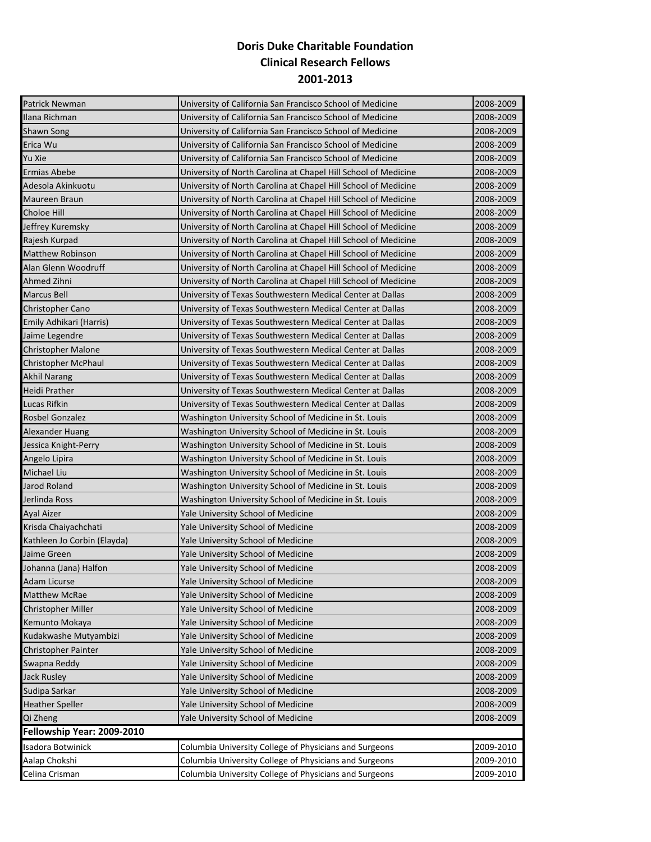<span id="page-12-0"></span>

| Patrick Newman              | University of California San Francisco School of Medicine      | 2008-2009 |
|-----------------------------|----------------------------------------------------------------|-----------|
| Ilana Richman               | University of California San Francisco School of Medicine      | 2008-2009 |
| <b>Shawn Song</b>           | University of California San Francisco School of Medicine      | 2008-2009 |
| Erica Wu                    | University of California San Francisco School of Medicine      | 2008-2009 |
| Yu Xie                      | University of California San Francisco School of Medicine      | 2008-2009 |
| Ermias Abebe                | University of North Carolina at Chapel Hill School of Medicine | 2008-2009 |
| Adesola Akinkuotu           | University of North Carolina at Chapel Hill School of Medicine | 2008-2009 |
| Maureen Braun               | University of North Carolina at Chapel Hill School of Medicine | 2008-2009 |
| Choloe Hill                 | University of North Carolina at Chapel Hill School of Medicine | 2008-2009 |
| Jeffrey Kuremsky            | University of North Carolina at Chapel Hill School of Medicine | 2008-2009 |
| Rajesh Kurpad               | University of North Carolina at Chapel Hill School of Medicine | 2008-2009 |
| Matthew Robinson            | University of North Carolina at Chapel Hill School of Medicine | 2008-2009 |
| Alan Glenn Woodruff         | University of North Carolina at Chapel Hill School of Medicine | 2008-2009 |
| Ahmed Zihni                 | University of North Carolina at Chapel Hill School of Medicine | 2008-2009 |
| Marcus Bell                 | University of Texas Southwestern Medical Center at Dallas      | 2008-2009 |
| Christopher Cano            | University of Texas Southwestern Medical Center at Dallas      | 2008-2009 |
| Emily Adhikari (Harris)     | University of Texas Southwestern Medical Center at Dallas      | 2008-2009 |
| Jaime Legendre              | University of Texas Southwestern Medical Center at Dallas      | 2008-2009 |
| <b>Christopher Malone</b>   | University of Texas Southwestern Medical Center at Dallas      | 2008-2009 |
| Christopher McPhaul         | University of Texas Southwestern Medical Center at Dallas      | 2008-2009 |
| Akhil Narang                | University of Texas Southwestern Medical Center at Dallas      | 2008-2009 |
| Heidi Prather               | University of Texas Southwestern Medical Center at Dallas      | 2008-2009 |
| Lucas Rifkin                | University of Texas Southwestern Medical Center at Dallas      | 2008-2009 |
| <b>Rosbel Gonzalez</b>      | Washington University School of Medicine in St. Louis          | 2008-2009 |
| <b>Alexander Huang</b>      | Washington University School of Medicine in St. Louis          | 2008-2009 |
| Jessica Knight-Perry        | Washington University School of Medicine in St. Louis          | 2008-2009 |
| Angelo Lipira               | Washington University School of Medicine in St. Louis          | 2008-2009 |
| Michael Liu                 | Washington University School of Medicine in St. Louis          | 2008-2009 |
| Jarod Roland                | Washington University School of Medicine in St. Louis          | 2008-2009 |
| Jerlinda Ross               | Washington University School of Medicine in St. Louis          | 2008-2009 |
| Ayal Aizer                  | Yale University School of Medicine                             | 2008-2009 |
| Krisda Chaiyachchati        | Yale University School of Medicine                             | 2008-2009 |
| Kathleen Jo Corbin (Elayda) | Yale University School of Medicine                             | 2008-2009 |
| Jaime Green                 | Yale University School of Medicine                             | 2008-2009 |
| Johanna (Jana) Halfon       | Yale University School of Medicine                             | 2008-2009 |
| Adam Licurse                | Yale University School of Medicine                             | 2008-2009 |
| <b>Matthew McRae</b>        | Yale University School of Medicine                             | 2008-2009 |
| Christopher Miller          | Yale University School of Medicine                             | 2008-2009 |
| Kemunto Mokaya              | Yale University School of Medicine                             | 2008-2009 |
| Kudakwashe Mutyambizi       | Yale University School of Medicine                             | 2008-2009 |
| Christopher Painter         | Yale University School of Medicine                             | 2008-2009 |
| Swapna Reddy                | Yale University School of Medicine                             | 2008-2009 |
| Jack Rusley                 | Yale University School of Medicine                             | 2008-2009 |
| Sudipa Sarkar               | Yale University School of Medicine                             | 2008-2009 |
| <b>Heather Speller</b>      | Yale University School of Medicine                             | 2008-2009 |
| Qi Zheng                    | Yale University School of Medicine                             | 2008-2009 |
| Fellowship Year: 2009-2010  |                                                                |           |
| Isadora Botwinick           | Columbia University College of Physicians and Surgeons         | 2009-2010 |
| Aalap Chokshi               | Columbia University College of Physicians and Surgeons         | 2009-2010 |
| Celina Crisman              | Columbia University College of Physicians and Surgeons         | 2009-2010 |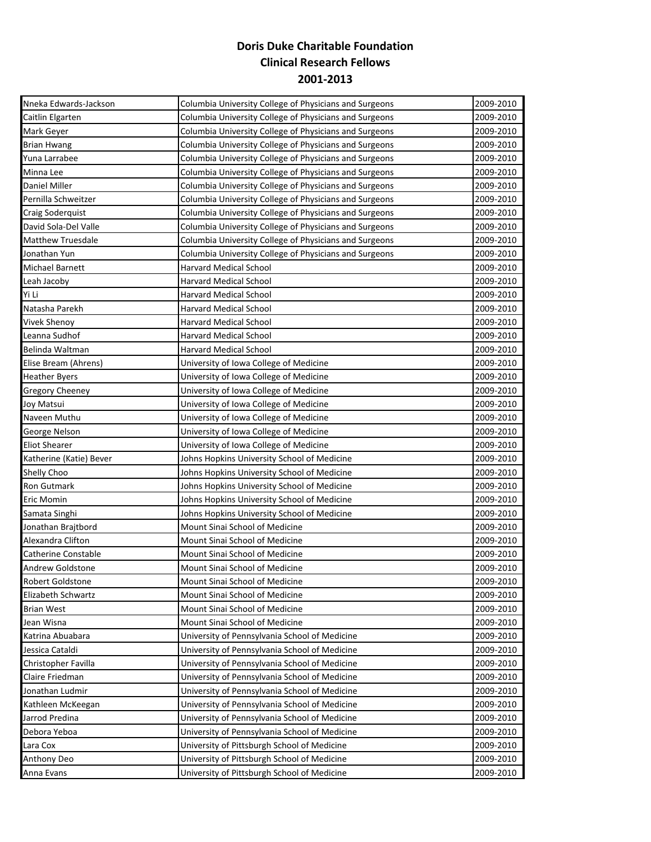| Nneka Edwards-Jackson      | Columbia University College of Physicians and Surgeons | 2009-2010 |
|----------------------------|--------------------------------------------------------|-----------|
| Caitlin Elgarten           | Columbia University College of Physicians and Surgeons | 2009-2010 |
| Mark Geyer                 | Columbia University College of Physicians and Surgeons | 2009-2010 |
| <b>Brian Hwang</b>         | Columbia University College of Physicians and Surgeons | 2009-2010 |
| Yuna Larrabee              | Columbia University College of Physicians and Surgeons | 2009-2010 |
| Minna Lee                  | Columbia University College of Physicians and Surgeons | 2009-2010 |
| Daniel Miller              | Columbia University College of Physicians and Surgeons | 2009-2010 |
| Pernilla Schweitzer        | Columbia University College of Physicians and Surgeons | 2009-2010 |
| Craig Soderquist           | Columbia University College of Physicians and Surgeons | 2009-2010 |
| David Sola-Del Valle       | Columbia University College of Physicians and Surgeons | 2009-2010 |
| <b>Matthew Truesdale</b>   | Columbia University College of Physicians and Surgeons | 2009-2010 |
| Jonathan Yun               | Columbia University College of Physicians and Surgeons | 2009-2010 |
| Michael Barnett            | Harvard Medical School                                 | 2009-2010 |
| Leah Jacoby                | <b>Harvard Medical School</b>                          | 2009-2010 |
| Yi Li                      | <b>Harvard Medical School</b>                          | 2009-2010 |
| Natasha Parekh             | <b>Harvard Medical School</b>                          | 2009-2010 |
| Vivek Shenoy               | <b>Harvard Medical School</b>                          | 2009-2010 |
| Leanna Sudhof              | <b>Harvard Medical School</b>                          | 2009-2010 |
| Belinda Waltman            | <b>Harvard Medical School</b>                          | 2009-2010 |
| Elise Bream (Ahrens)       | University of Iowa College of Medicine                 | 2009-2010 |
| <b>Heather Byers</b>       | University of Iowa College of Medicine                 | 2009-2010 |
| Gregory Cheeney            | University of Iowa College of Medicine                 | 2009-2010 |
| Joy Matsui                 | University of Iowa College of Medicine                 | 2009-2010 |
| Naveen Muthu               | University of Iowa College of Medicine                 | 2009-2010 |
| George Nelson              | University of Iowa College of Medicine                 | 2009-2010 |
|                            |                                                        |           |
| <b>Eliot Shearer</b>       | University of Iowa College of Medicine                 | 2009-2010 |
| Katherine (Katie) Bever    | Johns Hopkins University School of Medicine            | 2009-2010 |
| Shelly Choo                | Johns Hopkins University School of Medicine            | 2009-2010 |
| Ron Gutmark                | Johns Hopkins University School of Medicine            | 2009-2010 |
| Eric Momin                 | Johns Hopkins University School of Medicine            | 2009-2010 |
| Samata Singhi              | Johns Hopkins University School of Medicine            | 2009-2010 |
| Jonathan Braitbord         | Mount Sinai School of Medicine                         | 2009-2010 |
| Alexandra Clifton          | Mount Sinai School of Medicine                         | 2009-2010 |
| <b>Catherine Constable</b> | Mount Sinai School of Medicine                         | 2009-2010 |
| Andrew Goldstone           | Mount Sinai School of Medicine                         | 2009-2010 |
| <b>Robert Goldstone</b>    | Mount Sinai School of Medicine                         | 2009-2010 |
| Elizabeth Schwartz         | Mount Sinai School of Medicine                         | 2009-2010 |
| <b>Brian West</b>          | Mount Sinai School of Medicine                         | 2009-2010 |
| Jean Wisna                 | Mount Sinai School of Medicine                         | 2009-2010 |
| Katrina Abuabara           | University of Pennsylvania School of Medicine          | 2009-2010 |
| Jessica Cataldi            | University of Pennsylvania School of Medicine          | 2009-2010 |
| Christopher Favilla        | University of Pennsylvania School of Medicine          | 2009-2010 |
| Claire Friedman            | University of Pennsylvania School of Medicine          | 2009-2010 |
| Jonathan Ludmir            | University of Pennsylvania School of Medicine          | 2009-2010 |
| Kathleen McKeegan          | University of Pennsylvania School of Medicine          | 2009-2010 |
| Jarrod Predina             | University of Pennsylvania School of Medicine          | 2009-2010 |
| Debora Yeboa               | University of Pennsylvania School of Medicine          | 2009-2010 |
| Lara Cox                   | University of Pittsburgh School of Medicine            | 2009-2010 |
| Anthony Deo                | University of Pittsburgh School of Medicine            | 2009-2010 |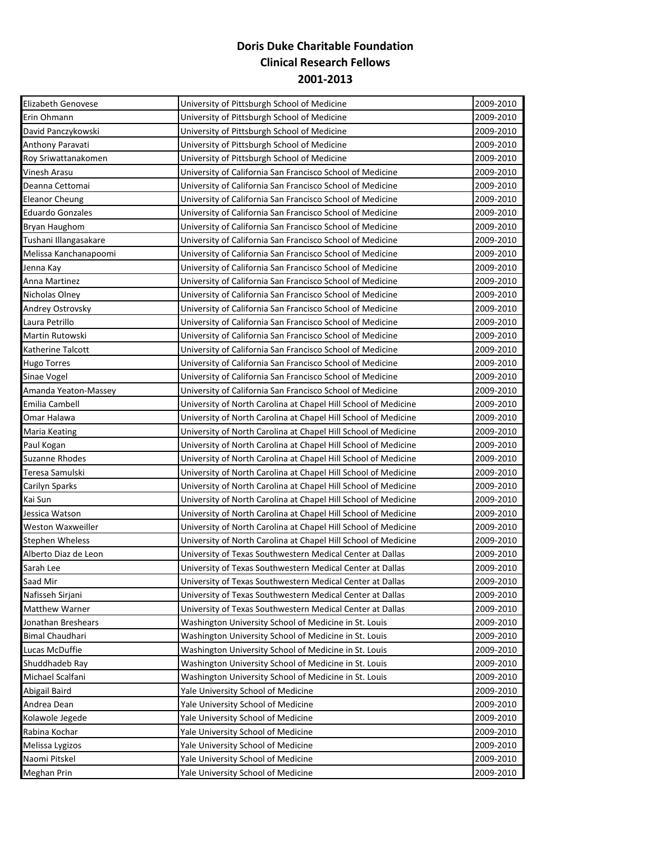| Elizabeth Genovese       | University of Pittsburgh School of Medicine                    | 2009-2010 |
|--------------------------|----------------------------------------------------------------|-----------|
| Erin Ohmann              | University of Pittsburgh School of Medicine                    | 2009-2010 |
| David Panczykowski       | University of Pittsburgh School of Medicine                    | 2009-2010 |
| Anthony Paravati         | University of Pittsburgh School of Medicine                    | 2009-2010 |
| Roy Sriwattanakomen      | University of Pittsburgh School of Medicine                    | 2009-2010 |
| Vinesh Arasu             | University of California San Francisco School of Medicine      | 2009-2010 |
| Deanna Cettomai          | University of California San Francisco School of Medicine      | 2009-2010 |
| <b>Eleanor Cheung</b>    | University of California San Francisco School of Medicine      | 2009-2010 |
| <b>Eduardo Gonzales</b>  | University of California San Francisco School of Medicine      | 2009-2010 |
| Bryan Haughom            | University of California San Francisco School of Medicine      | 2009-2010 |
| Tushani Illangasakare    | University of California San Francisco School of Medicine      | 2009-2010 |
| Melissa Kanchanapoomi    | University of California San Francisco School of Medicine      | 2009-2010 |
| Jenna Kay                | University of California San Francisco School of Medicine      | 2009-2010 |
| Anna Martinez            | University of California San Francisco School of Medicine      | 2009-2010 |
| Nicholas Olney           | University of California San Francisco School of Medicine      | 2009-2010 |
| Andrey Ostrovsky         | University of California San Francisco School of Medicine      | 2009-2010 |
| Laura Petrillo           | University of California San Francisco School of Medicine      | 2009-2010 |
| Martin Rutowski          | University of California San Francisco School of Medicine      | 2009-2010 |
| Katherine Talcott        | University of California San Francisco School of Medicine      | 2009-2010 |
| <b>Hugo Torres</b>       | University of California San Francisco School of Medicine      | 2009-2010 |
| Sinae Vogel              | University of California San Francisco School of Medicine      | 2009-2010 |
| Amanda Yeaton-Massey     | University of California San Francisco School of Medicine      | 2009-2010 |
| Emilia Cambell           | University of North Carolina at Chapel Hill School of Medicine | 2009-2010 |
| Omar Halawa              | University of North Carolina at Chapel Hill School of Medicine | 2009-2010 |
| Maria Keating            | University of North Carolina at Chapel Hill School of Medicine | 2009-2010 |
| Paul Kogan               | University of North Carolina at Chapel Hill School of Medicine | 2009-2010 |
| <b>Suzanne Rhodes</b>    | University of North Carolina at Chapel Hill School of Medicine | 2009-2010 |
| Teresa Samulski          | University of North Carolina at Chapel Hill School of Medicine | 2009-2010 |
| Carilyn Sparks           | University of North Carolina at Chapel Hill School of Medicine | 2009-2010 |
| Kai Sun                  | University of North Carolina at Chapel Hill School of Medicine | 2009-2010 |
| Jessica Watson           | University of North Carolina at Chapel Hill School of Medicine | 2009-2010 |
| <b>Weston Waxweiller</b> | University of North Carolina at Chapel Hill School of Medicine | 2009-2010 |
| Stephen Wheless          | University of North Carolina at Chapel Hill School of Medicine | 2009-2010 |
| Alberto Diaz de Leon     | University of Texas Southwestern Medical Center at Dallas      | 2009-2010 |
| Sarah Lee                | University of Texas Southwestern Medical Center at Dallas      | 2009-2010 |
| Saad Mir                 | University of Texas Southwestern Medical Center at Dallas      | 2009-2010 |
| Nafisseh Sirjani         | University of Texas Southwestern Medical Center at Dallas      | 2009-2010 |
| Matthew Warner           | University of Texas Southwestern Medical Center at Dallas      | 2009-2010 |
| Jonathan Breshears       | Washington University School of Medicine in St. Louis          | 2009-2010 |
| <b>Bimal Chaudhari</b>   | Washington University School of Medicine in St. Louis          | 2009-2010 |
| Lucas McDuffie           | Washington University School of Medicine in St. Louis          | 2009-2010 |
| Shuddhadeb Ray           | Washington University School of Medicine in St. Louis          | 2009-2010 |
| Michael Scalfani         | Washington University School of Medicine in St. Louis          | 2009-2010 |
| Abigail Baird            | Yale University School of Medicine                             | 2009-2010 |
| Andrea Dean              | Yale University School of Medicine                             | 2009-2010 |
| Kolawole Jegede          | Yale University School of Medicine                             | 2009-2010 |
| Rabina Kochar            | Yale University School of Medicine                             | 2009-2010 |
| Melissa Lygizos          | Yale University School of Medicine                             | 2009-2010 |
| Naomi Pitskel            | Yale University School of Medicine                             | 2009-2010 |
| Meghan Prin              | Yale University School of Medicine                             | 2009-2010 |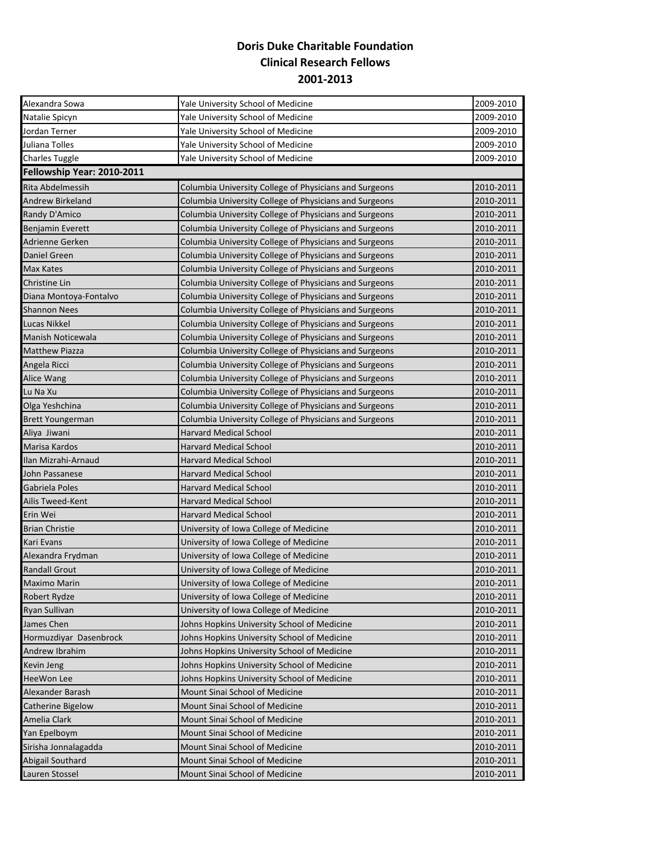<span id="page-15-0"></span>

| Alexandra Sowa             | Yale University School of Medicine                     | 2009-2010 |
|----------------------------|--------------------------------------------------------|-----------|
| Natalie Spicyn             | Yale University School of Medicine                     | 2009-2010 |
| Jordan Terner              | Yale University School of Medicine                     | 2009-2010 |
| Juliana Tolles             | Yale University School of Medicine                     | 2009-2010 |
| Charles Tuggle             | Yale University School of Medicine                     | 2009-2010 |
| Fellowship Year: 2010-2011 |                                                        |           |
| Rita Abdelmessih           | Columbia University College of Physicians and Surgeons | 2010-2011 |
| Andrew Birkeland           | Columbia University College of Physicians and Surgeons | 2010-2011 |
| Randy D'Amico              | Columbia University College of Physicians and Surgeons | 2010-2011 |
| Benjamin Everett           | Columbia University College of Physicians and Surgeons | 2010-2011 |
| Adrienne Gerken            | Columbia University College of Physicians and Surgeons | 2010-2011 |
| Daniel Green               | Columbia University College of Physicians and Surgeons | 2010-2011 |
| Max Kates                  | Columbia University College of Physicians and Surgeons | 2010-2011 |
| Christine Lin              | Columbia University College of Physicians and Surgeons | 2010-2011 |
| Diana Montoya-Fontalvo     | Columbia University College of Physicians and Surgeons | 2010-2011 |
| <b>Shannon Nees</b>        | Columbia University College of Physicians and Surgeons | 2010-2011 |
| Lucas Nikkel               | Columbia University College of Physicians and Surgeons | 2010-2011 |
| Manish Noticewala          | Columbia University College of Physicians and Surgeons | 2010-2011 |
| <b>Matthew Piazza</b>      | Columbia University College of Physicians and Surgeons | 2010-2011 |
| Angela Ricci               | Columbia University College of Physicians and Surgeons | 2010-2011 |
| Alice Wang                 | Columbia University College of Physicians and Surgeons | 2010-2011 |
| Lu Na Xu                   | Columbia University College of Physicians and Surgeons | 2010-2011 |
| Olga Yeshchina             | Columbia University College of Physicians and Surgeons | 2010-2011 |
| <b>Brett Youngerman</b>    | Columbia University College of Physicians and Surgeons | 2010-2011 |
| Aliya Jiwani               | <b>Harvard Medical School</b>                          | 2010-2011 |
| Marisa Kardos              | Harvard Medical School                                 | 2010-2011 |
| Ilan Mizrahi-Arnaud        | <b>Harvard Medical School</b>                          | 2010-2011 |
| John Passanese             | Harvard Medical School                                 | 2010-2011 |
| Gabriela Poles             |                                                        |           |
|                            | <b>Harvard Medical School</b>                          | 2010-2011 |
| Ailis Tweed-Kent           | <b>Harvard Medical School</b>                          | 2010-2011 |
| Erin Wei                   | <b>Harvard Medical School</b>                          | 2010-2011 |
| <b>Brian Christie</b>      | University of Iowa College of Medicine                 | 2010-2011 |
| Kari Evans                 | University of Iowa College of Medicine                 | 2010-2011 |
| Alexandra Frydman          | University of Iowa College of Medicine                 | 2010-2011 |
| <b>Randall Grout</b>       | University of Iowa College of Medicine                 | 2010-2011 |
| Maximo Marin               | University of Iowa College of Medicine                 | 2010-2011 |
| Robert Rydze               | University of Iowa College of Medicine                 | 2010-2011 |
| Ryan Sullivan              | University of Iowa College of Medicine                 | 2010-2011 |
| James Chen                 | Johns Hopkins University School of Medicine            | 2010-2011 |
| Hormuzdiyar Dasenbrock     | Johns Hopkins University School of Medicine            | 2010-2011 |
| Andrew Ibrahim             | Johns Hopkins University School of Medicine            | 2010-2011 |
| Kevin Jeng                 | Johns Hopkins University School of Medicine            | 2010-2011 |
| HeeWon Lee                 | Johns Hopkins University School of Medicine            | 2010-2011 |
| Alexander Barash           | Mount Sinai School of Medicine                         | 2010-2011 |
| <b>Catherine Bigelow</b>   | Mount Sinai School of Medicine                         | 2010-2011 |
| Amelia Clark               | Mount Sinai School of Medicine                         | 2010-2011 |
| Yan Epelboym               | Mount Sinai School of Medicine                         | 2010-2011 |
| Sirisha Jonnalagadda       | Mount Sinai School of Medicine                         | 2010-2011 |
| Abigail Southard           | Mount Sinai School of Medicine                         | 2010-2011 |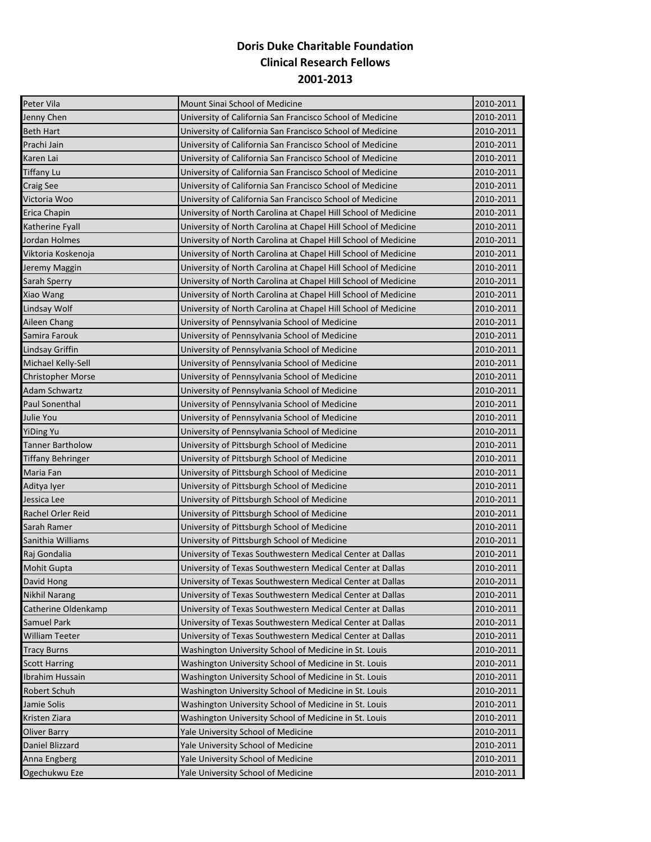| Peter Vila               | Mount Sinai School of Medicine                                 | 2010-2011 |
|--------------------------|----------------------------------------------------------------|-----------|
| Jenny Chen               | University of California San Francisco School of Medicine      | 2010-2011 |
| <b>Beth Hart</b>         | University of California San Francisco School of Medicine      | 2010-2011 |
| Prachi Jain              | University of California San Francisco School of Medicine      | 2010-2011 |
| Karen Lai                | University of California San Francisco School of Medicine      | 2010-2011 |
| <b>Tiffany Lu</b>        | University of California San Francisco School of Medicine      | 2010-2011 |
| Craig See                | University of California San Francisco School of Medicine      | 2010-2011 |
| Victoria Woo             | University of California San Francisco School of Medicine      | 2010-2011 |
| Erica Chapin             | University of North Carolina at Chapel Hill School of Medicine | 2010-2011 |
| Katherine Fyall          | University of North Carolina at Chapel Hill School of Medicine | 2010-2011 |
| Jordan Holmes            | University of North Carolina at Chapel Hill School of Medicine | 2010-2011 |
| Viktoria Koskenoja       | University of North Carolina at Chapel Hill School of Medicine | 2010-2011 |
| Jeremy Maggin            | University of North Carolina at Chapel Hill School of Medicine | 2010-2011 |
| Sarah Sperry             | University of North Carolina at Chapel Hill School of Medicine | 2010-2011 |
| Xiao Wang                | University of North Carolina at Chapel Hill School of Medicine | 2010-2011 |
| Lindsay Wolf             | University of North Carolina at Chapel Hill School of Medicine | 2010-2011 |
| Aileen Chang             | University of Pennsylvania School of Medicine                  | 2010-2011 |
| Samira Farouk            | University of Pennsylvania School of Medicine                  | 2010-2011 |
| <b>Lindsay Griffin</b>   | University of Pennsylvania School of Medicine                  | 2010-2011 |
| Michael Kelly-Sell       | University of Pennsylvania School of Medicine                  | 2010-2011 |
| <b>Christopher Morse</b> | University of Pennsylvania School of Medicine                  | 2010-2011 |
| Adam Schwartz            | University of Pennsylvania School of Medicine                  | 2010-2011 |
| Paul Sonenthal           | University of Pennsylvania School of Medicine                  | 2010-2011 |
| Julie You                | University of Pennsylvania School of Medicine                  | 2010-2011 |
| YiDing Yu                | University of Pennsylvania School of Medicine                  | 2010-2011 |
| Tanner Bartholow         | University of Pittsburgh School of Medicine                    | 2010-2011 |
| Tiffany Behringer        | University of Pittsburgh School of Medicine                    | 2010-2011 |
| Maria Fan                | University of Pittsburgh School of Medicine                    | 2010-2011 |
| Aditya Iyer              | University of Pittsburgh School of Medicine                    | 2010-2011 |
| Jessica Lee              | University of Pittsburgh School of Medicine                    | 2010-2011 |
| Rachel Orler Reid        | University of Pittsburgh School of Medicine                    | 2010-2011 |
| Sarah Ramer              | University of Pittsburgh School of Medicine                    | 2010-2011 |
| Sanithia Williams        | University of Pittsburgh School of Medicine                    | 2010-2011 |
| Raj Gondalia             | University of Texas Southwestern Medical Center at Dallas      | 2010-2011 |
| Mohit Gupta              | University of Texas Southwestern Medical Center at Dallas      | 2010-2011 |
| David Hong               | University of Texas Southwestern Medical Center at Dallas      | 2010-2011 |
| <b>Nikhil Narang</b>     | University of Texas Southwestern Medical Center at Dallas      | 2010-2011 |
| Catherine Oldenkamp      | University of Texas Southwestern Medical Center at Dallas      | 2010-2011 |
| Samuel Park              | University of Texas Southwestern Medical Center at Dallas      | 2010-2011 |
| William Teeter           | University of Texas Southwestern Medical Center at Dallas      | 2010-2011 |
| <b>Tracy Burns</b>       | Washington University School of Medicine in St. Louis          | 2010-2011 |
| <b>Scott Harring</b>     | Washington University School of Medicine in St. Louis          | 2010-2011 |
| Ibrahim Hussain          | Washington University School of Medicine in St. Louis          | 2010-2011 |
| Robert Schuh             | Washington University School of Medicine in St. Louis          | 2010-2011 |
| Jamie Solis              | Washington University School of Medicine in St. Louis          | 2010-2011 |
| Kristen Ziara            | Washington University School of Medicine in St. Louis          | 2010-2011 |
| Oliver Barry             | Yale University School of Medicine                             | 2010-2011 |
| Daniel Blizzard          | Yale University School of Medicine                             | 2010-2011 |
| Anna Engberg             | Yale University School of Medicine                             | 2010-2011 |
| Ogechukwu Eze            | Yale University School of Medicine                             | 2010-2011 |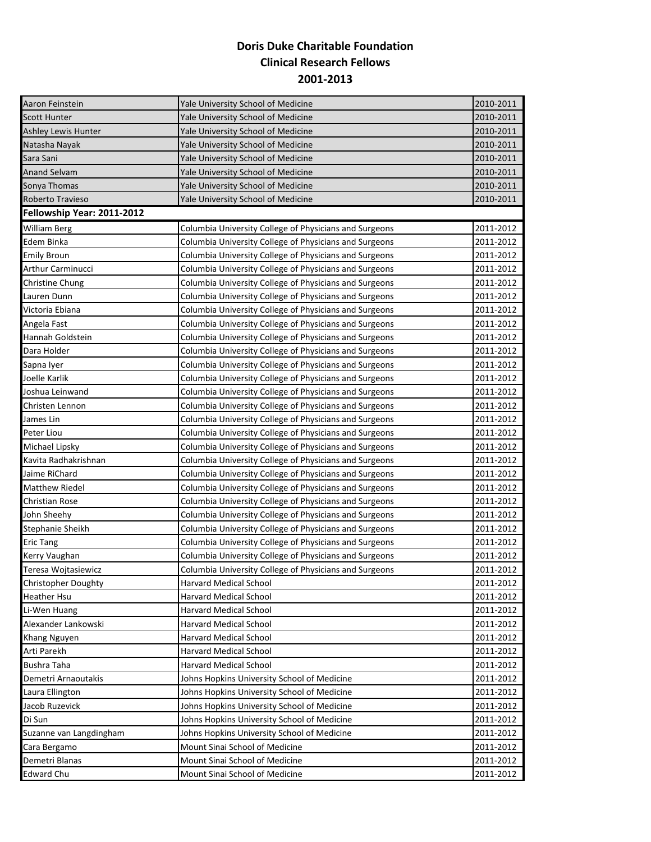<span id="page-17-0"></span>

| Aaron Feinstein            | Yale University School of Medicine                     | 2010-2011 |
|----------------------------|--------------------------------------------------------|-----------|
| Scott Hunter               | Yale University School of Medicine                     | 2010-2011 |
| <b>Ashley Lewis Hunter</b> | Yale University School of Medicine                     | 2010-2011 |
| Natasha Nayak              | Yale University School of Medicine                     | 2010-2011 |
| Sara Sani                  | Yale University School of Medicine                     | 2010-2011 |
| <b>Anand Selvam</b>        | Yale University School of Medicine                     | 2010-2011 |
| Sonya Thomas               | Yale University School of Medicine                     | 2010-2011 |
| Roberto Travieso           | Yale University School of Medicine                     | 2010-2011 |
| Fellowship Year: 2011-2012 |                                                        |           |
| <b>William Berg</b>        | Columbia University College of Physicians and Surgeons | 2011-2012 |
| Edem Binka                 | Columbia University College of Physicians and Surgeons | 2011-2012 |
| <b>Emily Broun</b>         | Columbia University College of Physicians and Surgeons | 2011-2012 |
| Arthur Carminucci          | Columbia University College of Physicians and Surgeons | 2011-2012 |
| Christine Chung            | Columbia University College of Physicians and Surgeons | 2011-2012 |
| Lauren Dunn                | Columbia University College of Physicians and Surgeons | 2011-2012 |
| Victoria Ebiana            | Columbia University College of Physicians and Surgeons | 2011-2012 |
| Angela Fast                | Columbia University College of Physicians and Surgeons | 2011-2012 |
| Hannah Goldstein           | Columbia University College of Physicians and Surgeons | 2011-2012 |
| Dara Holder                | Columbia University College of Physicians and Surgeons | 2011-2012 |
| Sapna Iyer                 | Columbia University College of Physicians and Surgeons | 2011-2012 |
| Joelle Karlik              | Columbia University College of Physicians and Surgeons | 2011-2012 |
| Joshua Leinwand            | Columbia University College of Physicians and Surgeons | 2011-2012 |
| Christen Lennon            | Columbia University College of Physicians and Surgeons | 2011-2012 |
| James Lin                  | Columbia University College of Physicians and Surgeons | 2011-2012 |
| Peter Liou                 | Columbia University College of Physicians and Surgeons | 2011-2012 |
| Michael Lipsky             | Columbia University College of Physicians and Surgeons | 2011-2012 |
| Kavita Radhakrishnan       | Columbia University College of Physicians and Surgeons | 2011-2012 |
| Jaime RiChard              | Columbia University College of Physicians and Surgeons | 2011-2012 |
| Matthew Riedel             | Columbia University College of Physicians and Surgeons | 2011-2012 |
| Christian Rose             | Columbia University College of Physicians and Surgeons | 2011-2012 |
| John Sheehy                | Columbia University College of Physicians and Surgeons | 2011-2012 |
| Stephanie Sheikh           | Columbia University College of Physicians and Surgeons | 2011-2012 |
| <b>Eric Tang</b>           | Columbia University College of Physicians and Surgeons | 2011-2012 |
| Kerry Vaughan              | Columbia University College of Physicians and Surgeons | 2011-2012 |
| Teresa Wojtasiewicz        | Columbia University College of Physicians and Surgeons | 2011-2012 |
| Christopher Doughty        | <b>Harvard Medical School</b>                          | 2011-2012 |
| Heather Hsu                | <b>Harvard Medical School</b>                          | 2011-2012 |
| Li-Wen Huang               | <b>Harvard Medical School</b>                          | 2011-2012 |
| Alexander Lankowski        | <b>Harvard Medical School</b>                          | 2011-2012 |
| Khang Nguyen               | <b>Harvard Medical School</b>                          | 2011-2012 |
| Arti Parekh                | <b>Harvard Medical School</b>                          | 2011-2012 |
| <b>Bushra Taha</b>         | <b>Harvard Medical School</b>                          | 2011-2012 |
| Demetri Arnaoutakis        | Johns Hopkins University School of Medicine            | 2011-2012 |
| Laura Ellington            | Johns Hopkins University School of Medicine            | 2011-2012 |
| Jacob Ruzevick             | Johns Hopkins University School of Medicine            | 2011-2012 |
| Di Sun                     | Johns Hopkins University School of Medicine            | 2011-2012 |
| Suzanne van Langdingham    | Johns Hopkins University School of Medicine            | 2011-2012 |
| Cara Bergamo               | Mount Sinai School of Medicine                         | 2011-2012 |
| Demetri Blanas             | Mount Sinai School of Medicine                         | 2011-2012 |
| <b>Edward Chu</b>          | Mount Sinai School of Medicine                         | 2011-2012 |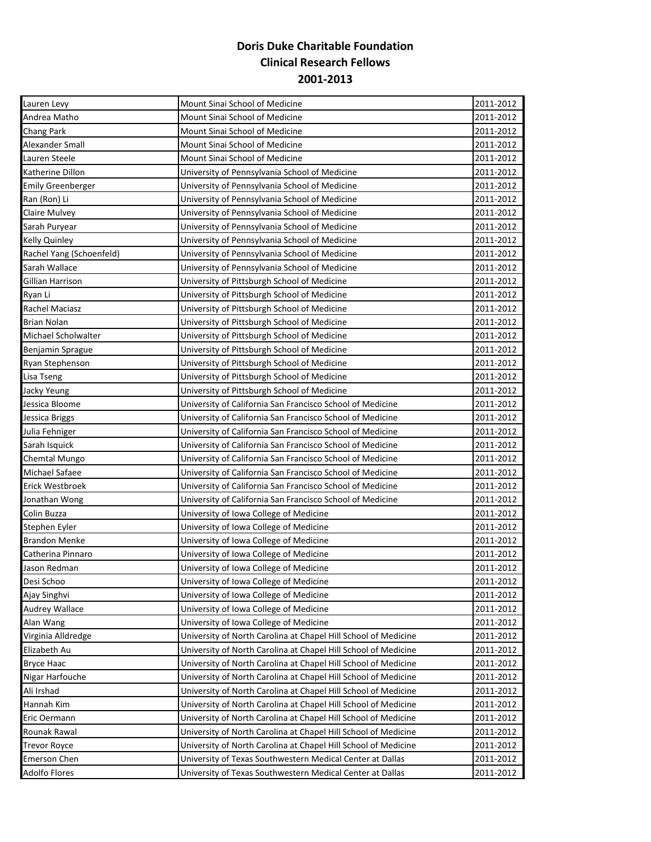| Lauren Levy              | Mount Sinai School of Medicine                                 | 2011-2012 |
|--------------------------|----------------------------------------------------------------|-----------|
| Andrea Matho             | Mount Sinai School of Medicine                                 | 2011-2012 |
| Chang Park               | Mount Sinai School of Medicine                                 | 2011-2012 |
| Alexander Small          | Mount Sinai School of Medicine                                 | 2011-2012 |
| Lauren Steele            | Mount Sinai School of Medicine                                 | 2011-2012 |
| Katherine Dillon         | University of Pennsylvania School of Medicine                  | 2011-2012 |
| <b>Emily Greenberger</b> | University of Pennsylvania School of Medicine                  | 2011-2012 |
| Ran (Ron) Li             | University of Pennsylvania School of Medicine                  | 2011-2012 |
| Claire Mulvey            | University of Pennsylvania School of Medicine                  | 2011-2012 |
| Sarah Puryear            | University of Pennsylvania School of Medicine                  | 2011-2012 |
| Kelly Quinley            | University of Pennsylvania School of Medicine                  | 2011-2012 |
| Rachel Yang (Schoenfeld) | University of Pennsylvania School of Medicine                  | 2011-2012 |
| Sarah Wallace            | University of Pennsylvania School of Medicine                  | 2011-2012 |
| Gillian Harrison         | University of Pittsburgh School of Medicine                    | 2011-2012 |
| Ryan Li                  | University of Pittsburgh School of Medicine                    | 2011-2012 |
| Rachel Maciasz           | University of Pittsburgh School of Medicine                    | 2011-2012 |
| Brian Nolan              | University of Pittsburgh School of Medicine                    | 2011-2012 |
| Michael Scholwalter      | University of Pittsburgh School of Medicine                    | 2011-2012 |
| Benjamin Sprague         | University of Pittsburgh School of Medicine                    | 2011-2012 |
| Ryan Stephenson          | University of Pittsburgh School of Medicine                    | 2011-2012 |
| Lisa Tseng               | University of Pittsburgh School of Medicine                    | 2011-2012 |
| Jacky Yeung              | University of Pittsburgh School of Medicine                    | 2011-2012 |
| Jessica Bloome           | University of California San Francisco School of Medicine      | 2011-2012 |
| Jessica Briggs           | University of California San Francisco School of Medicine      | 2011-2012 |
| Julia Fehniger           | University of California San Francisco School of Medicine      | 2011-2012 |
| Sarah Isquick            | University of California San Francisco School of Medicine      | 2011-2012 |
| Chemtal Mungo            | University of California San Francisco School of Medicine      | 2011-2012 |
| Michael Safaee           | University of California San Francisco School of Medicine      | 2011-2012 |
| Erick Westbroek          | University of California San Francisco School of Medicine      | 2011-2012 |
| Jonathan Wong            | University of California San Francisco School of Medicine      | 2011-2012 |
| Colin Buzza              | University of Iowa College of Medicine                         | 2011-2012 |
| Stephen Eyler            | University of Iowa College of Medicine                         | 2011-2012 |
| <b>Brandon Menke</b>     | University of Iowa College of Medicine                         | 2011-2012 |
| Catherina Pinnaro        | University of Iowa College of Medicine                         | 2011-2012 |
| Jason Redman             | University of Iowa College of Medicine                         | 2011-2012 |
| Desi Schoo               | University of Iowa College of Medicine                         | 2011-2012 |
| Ajay Singhvi             | University of Iowa College of Medicine                         | 2011-2012 |
| <b>Audrey Wallace</b>    | University of Iowa College of Medicine                         | 2011-2012 |
| Alan Wang                | University of Iowa College of Medicine                         | 2011-2012 |
| Virginia Alldredge       | University of North Carolina at Chapel Hill School of Medicine | 2011-2012 |
| Elizabeth Au             | University of North Carolina at Chapel Hill School of Medicine | 2011-2012 |
| <b>Bryce Haac</b>        | University of North Carolina at Chapel Hill School of Medicine | 2011-2012 |
| Nigar Harfouche          | University of North Carolina at Chapel Hill School of Medicine | 2011-2012 |
| Ali Irshad               | University of North Carolina at Chapel Hill School of Medicine | 2011-2012 |
| Hannah Kim               | University of North Carolina at Chapel Hill School of Medicine | 2011-2012 |
| Eric Oermann             | University of North Carolina at Chapel Hill School of Medicine | 2011-2012 |
| Rounak Rawal             | University of North Carolina at Chapel Hill School of Medicine | 2011-2012 |
| <b>Trevor Royce</b>      | University of North Carolina at Chapel Hill School of Medicine | 2011-2012 |
| <b>Emerson Chen</b>      | University of Texas Southwestern Medical Center at Dallas      | 2011-2012 |
| Adolfo Flores            | University of Texas Southwestern Medical Center at Dallas      | 2011-2012 |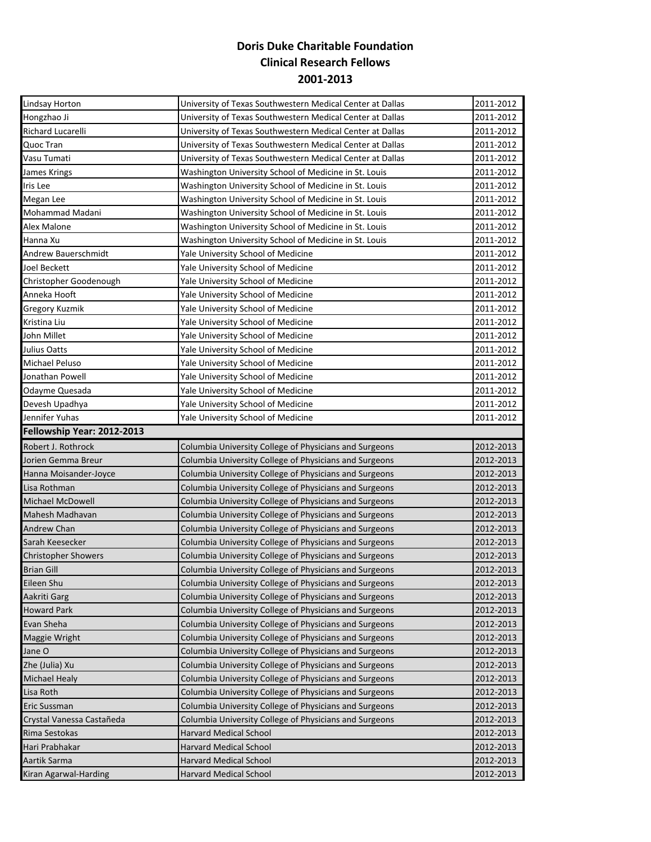<span id="page-19-0"></span>

| Lindsay Horton             | University of Texas Southwestern Medical Center at Dallas | 2011-2012 |
|----------------------------|-----------------------------------------------------------|-----------|
| Hongzhao Ji                | University of Texas Southwestern Medical Center at Dallas | 2011-2012 |
| Richard Lucarelli          | University of Texas Southwestern Medical Center at Dallas | 2011-2012 |
| Quoc Tran                  | University of Texas Southwestern Medical Center at Dallas | 2011-2012 |
| Vasu Tumati                | University of Texas Southwestern Medical Center at Dallas | 2011-2012 |
| James Krings               | Washington University School of Medicine in St. Louis     | 2011-2012 |
| Iris Lee                   | Washington University School of Medicine in St. Louis     | 2011-2012 |
| Megan Lee                  | Washington University School of Medicine in St. Louis     | 2011-2012 |
| Mohammad Madani            | Washington University School of Medicine in St. Louis     | 2011-2012 |
| Alex Malone                | Washington University School of Medicine in St. Louis     | 2011-2012 |
| Hanna Xu                   | Washington University School of Medicine in St. Louis     | 2011-2012 |
| Andrew Bauerschmidt        | Yale University School of Medicine                        | 2011-2012 |
| Joel Beckett               | Yale University School of Medicine                        | 2011-2012 |
| Christopher Goodenough     | Yale University School of Medicine                        | 2011-2012 |
| Anneka Hooft               | Yale University School of Medicine                        | 2011-2012 |
| Gregory Kuzmik             | Yale University School of Medicine                        | 2011-2012 |
| Kristina Liu               | Yale University School of Medicine                        | 2011-2012 |
| John Millet                | Yale University School of Medicine                        | 2011-2012 |
| Julius Oatts               | Yale University School of Medicine                        | 2011-2012 |
| Michael Peluso             | Yale University School of Medicine                        | 2011-2012 |
| Jonathan Powell            | Yale University School of Medicine                        | 2011-2012 |
| Odayme Quesada             | Yale University School of Medicine                        | 2011-2012 |
| Devesh Upadhya             | Yale University School of Medicine                        | 2011-2012 |
| Jennifer Yuhas             | Yale University School of Medicine                        | 2011-2012 |
| Fellowship Year: 2012-2013 |                                                           |           |
|                            |                                                           |           |
| Robert J. Rothrock         | Columbia University College of Physicians and Surgeons    | 2012-2013 |
| Jorien Gemma Breur         | Columbia University College of Physicians and Surgeons    | 2012-2013 |
| Hanna Moisander-Joyce      | Columbia University College of Physicians and Surgeons    | 2012-2013 |
| Lisa Rothman               | Columbia University College of Physicians and Surgeons    | 2012-2013 |
| Michael McDowell           | Columbia University College of Physicians and Surgeons    | 2012-2013 |
| Mahesh Madhavan            | Columbia University College of Physicians and Surgeons    | 2012-2013 |
| Andrew Chan                | Columbia University College of Physicians and Surgeons    | 2012-2013 |
| Sarah Keesecker            | Columbia University College of Physicians and Surgeons    | 2012-2013 |
| <b>Christopher Showers</b> | Columbia University College of Physicians and Surgeons    | 2012-2013 |
| <b>Brian Gill</b>          | Columbia University College of Physicians and Surgeons    | 2012-2013 |
| Eileen Shu                 | Columbia University College of Physicians and Surgeons    | 2012-2013 |
| Aakriti Garg               | Columbia University College of Physicians and Surgeons    | 2012-2013 |
| <b>Howard Park</b>         | Columbia University College of Physicians and Surgeons    | 2012-2013 |
| Evan Sheha                 | Columbia University College of Physicians and Surgeons    | 2012-2013 |
| Maggie Wright              | Columbia University College of Physicians and Surgeons    | 2012-2013 |
| Jane O                     | Columbia University College of Physicians and Surgeons    | 2012-2013 |
| Zhe (Julia) Xu             | Columbia University College of Physicians and Surgeons    | 2012-2013 |
| <b>Michael Healy</b>       | Columbia University College of Physicians and Surgeons    | 2012-2013 |
| Lisa Roth                  | Columbia University College of Physicians and Surgeons    | 2012-2013 |
| Eric Sussman               | Columbia University College of Physicians and Surgeons    | 2012-2013 |
| Crystal Vanessa Castañeda  | Columbia University College of Physicians and Surgeons    | 2012-2013 |
| Rima Sestokas              | <b>Harvard Medical School</b>                             | 2012-2013 |
| Hari Prabhakar             | <b>Harvard Medical School</b>                             | 2012-2013 |
| Aartik Sarma               | <b>Harvard Medical School</b>                             | 2012-2013 |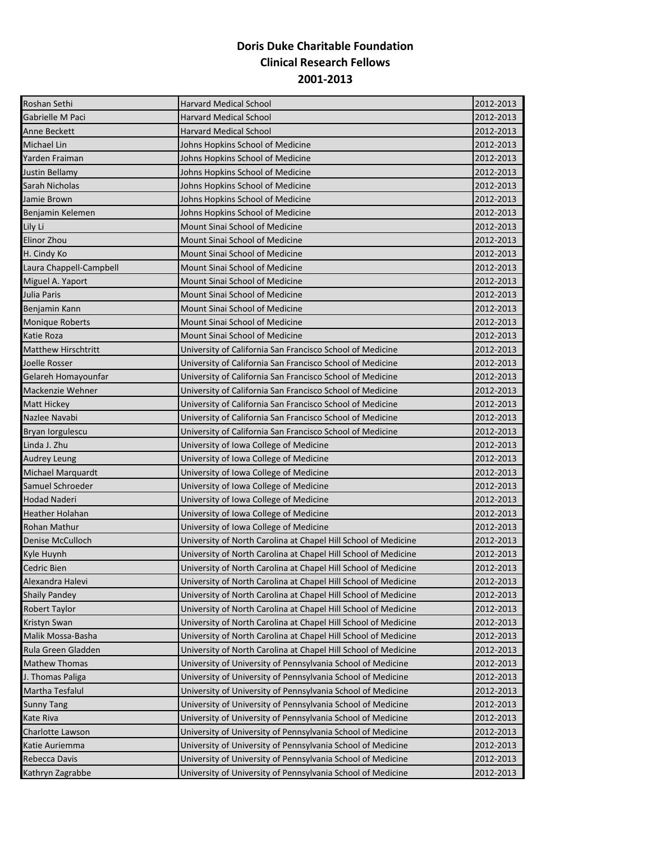| Roshan Sethi               | <b>Harvard Medical School</b>                                  | 2012-2013 |
|----------------------------|----------------------------------------------------------------|-----------|
| Gabrielle M Paci           | Harvard Medical School                                         | 2012-2013 |
| Anne Beckett               | <b>Harvard Medical School</b>                                  | 2012-2013 |
| Michael Lin                | Johns Hopkins School of Medicine                               | 2012-2013 |
| Yarden Fraiman             | Johns Hopkins School of Medicine                               | 2012-2013 |
| Justin Bellamy             | Johns Hopkins School of Medicine                               | 2012-2013 |
| Sarah Nicholas             | Johns Hopkins School of Medicine                               | 2012-2013 |
| Jamie Brown                | Johns Hopkins School of Medicine                               | 2012-2013 |
| Benjamin Kelemen           | Johns Hopkins School of Medicine                               | 2012-2013 |
| Lily Li                    | Mount Sinai School of Medicine                                 | 2012-2013 |
| Elinor Zhou                | Mount Sinai School of Medicine                                 | 2012-2013 |
| H. Cindy Ko                | Mount Sinai School of Medicine                                 | 2012-2013 |
| Laura Chappell-Campbell    | Mount Sinai School of Medicine                                 | 2012-2013 |
| Miguel A. Yaport           | Mount Sinai School of Medicine                                 | 2012-2013 |
| Julia Paris                | Mount Sinai School of Medicine                                 | 2012-2013 |
| Benjamin Kann              | Mount Sinai School of Medicine                                 | 2012-2013 |
| Monique Roberts            | Mount Sinai School of Medicine                                 | 2012-2013 |
| Katie Roza                 | Mount Sinai School of Medicine                                 | 2012-2013 |
| <b>Matthew Hirschtritt</b> | University of California San Francisco School of Medicine      | 2012-2013 |
| Joelle Rosser              | University of California San Francisco School of Medicine      | 2012-2013 |
| Gelareh Homayounfar        | University of California San Francisco School of Medicine      | 2012-2013 |
| Mackenzie Wehner           | University of California San Francisco School of Medicine      | 2012-2013 |
| Matt Hickey                | University of California San Francisco School of Medicine      | 2012-2013 |
| Nazlee Navabi              | University of California San Francisco School of Medicine      | 2012-2013 |
| Bryan lorgulescu           | University of California San Francisco School of Medicine      | 2012-2013 |
| Linda J. Zhu               | University of Iowa College of Medicine                         | 2012-2013 |
| <b>Audrey Leung</b>        | University of Iowa College of Medicine                         | 2012-2013 |
| Michael Marquardt          | University of Iowa College of Medicine                         | 2012-2013 |
| Samuel Schroeder           | University of Iowa College of Medicine                         | 2012-2013 |
| Hodad Naderi               | University of Iowa College of Medicine                         | 2012-2013 |
| Heather Holahan            | University of Iowa College of Medicine                         | 2012-2013 |
| Rohan Mathur               | University of Iowa College of Medicine                         | 2012-2013 |
| Denise McCulloch           | University of North Carolina at Chapel Hill School of Medicine | 2012-2013 |
| Kyle Huynh                 | University of North Carolina at Chapel Hill School of Medicine | 2012-2013 |
| Cedric Bien                | University of North Carolina at Chapel Hill School of Medicine | 2012-2013 |
| Alexandra Halevi           | University of North Carolina at Chapel Hill School of Medicine | 2012-2013 |
| <b>Shaily Pandey</b>       | University of North Carolina at Chapel Hill School of Medicine | 2012-2013 |
| Robert Taylor              | University of North Carolina at Chapel Hill School of Medicine | 2012-2013 |
| Kristyn Swan               | University of North Carolina at Chapel Hill School of Medicine | 2012-2013 |
| Malik Mossa-Basha          | University of North Carolina at Chapel Hill School of Medicine | 2012-2013 |
| Rula Green Gladden         | University of North Carolina at Chapel Hill School of Medicine | 2012-2013 |
| Mathew Thomas              | University of University of Pennsylvania School of Medicine    | 2012-2013 |
| J. Thomas Paliga           | University of University of Pennsylvania School of Medicine    | 2012-2013 |
| Martha Tesfalul            | University of University of Pennsylvania School of Medicine    | 2012-2013 |
| <b>Sunny Tang</b>          | University of University of Pennsylvania School of Medicine    | 2012-2013 |
| Kate Riva                  | University of University of Pennsylvania School of Medicine    | 2012-2013 |
| Charlotte Lawson           | University of University of Pennsylvania School of Medicine    | 2012-2013 |
| Katie Auriemma             | University of University of Pennsylvania School of Medicine    | 2012-2013 |
| Rebecca Davis              | University of University of Pennsylvania School of Medicine    | 2012-2013 |
| Kathryn Zagrabbe           | University of University of Pennsylvania School of Medicine    | 2012-2013 |